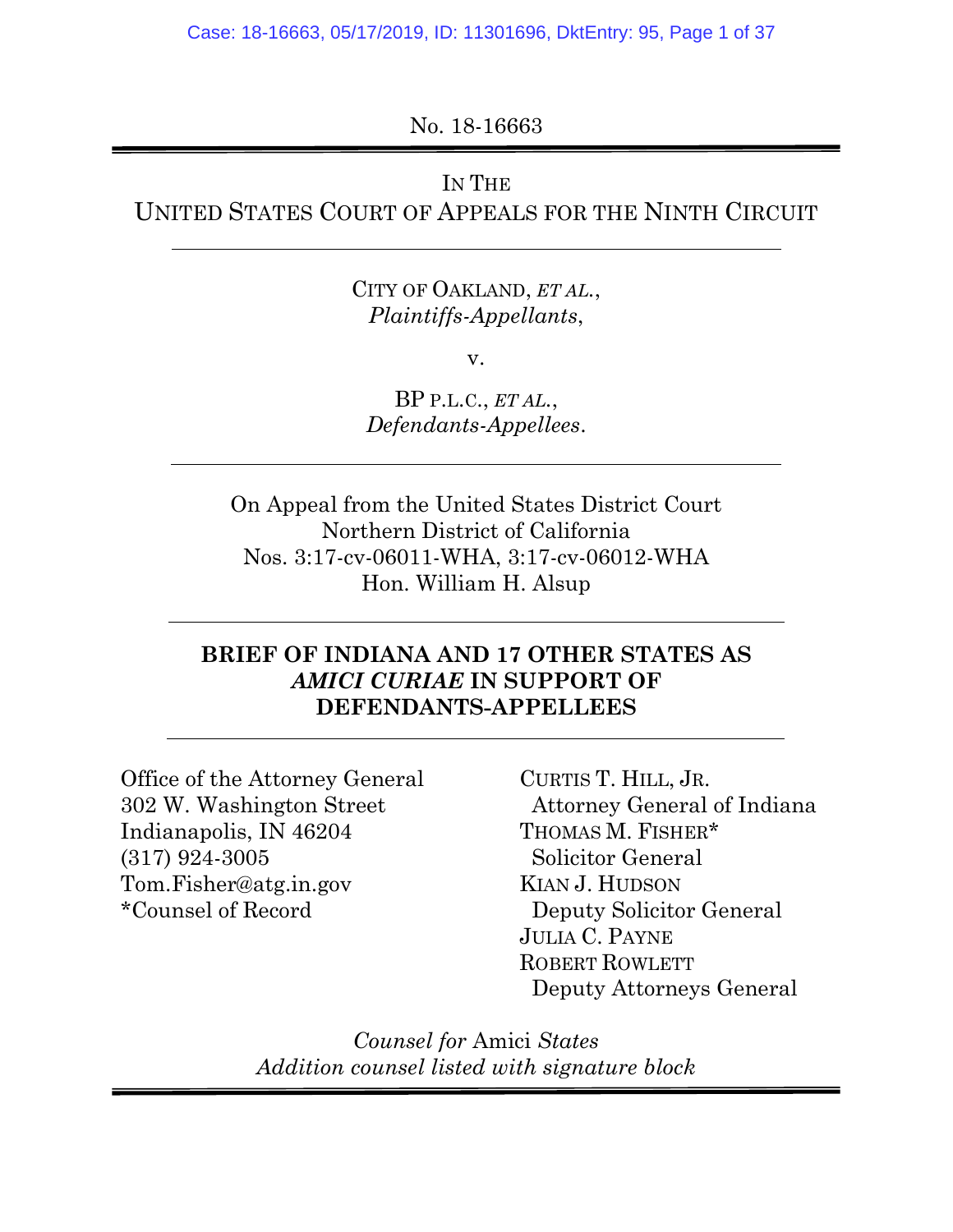No. 18-16663

## IN THE

UNITED STATES COURT OF APPEALS FOR THE NINTH CIRCUIT

CITY OF OAKLAND, *ET AL.*, *Plaintiffs-Appellants*,

v.

BP P.L.C., *ET AL.*, *Defendants-Appellees*.

On Appeal from the United States District Court Northern District of California Nos. 3:17-cv-06011-WHA, 3:17-cv-06012-WHA Hon. William H. Alsup

### **BRIEF OF INDIANA AND 17 OTHER STATES AS**  *AMICI CURIAE* **IN SUPPORT OF DEFENDANTS-APPELLEES**

Office of the Attorney General 302 W. Washington Street Indianapolis, IN 46204 (317) 924-3005 Tom.Fisher@atg.in.gov \*Counsel of Record

CURTIS T. HILL, JR. Attorney General of Indiana THOMAS M. FISHER\* Solicitor General KIAN J. HUDSON Deputy Solicitor General JULIA C. PAYNE ROBERT ROWLETT Deputy Attorneys General

*Counsel for* Amici *States Addition counsel listed with signature block*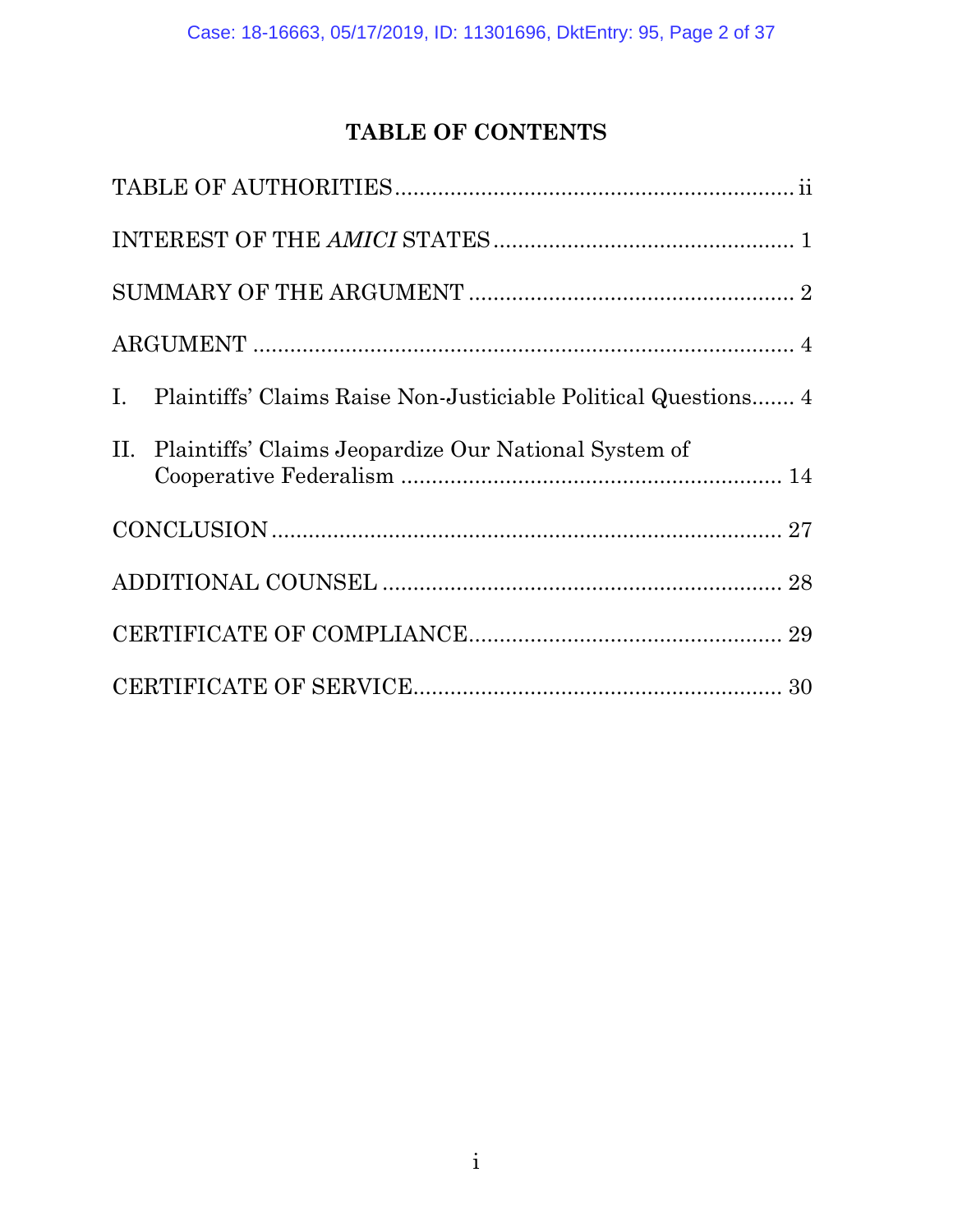# **TABLE OF CONTENTS**

| I. Plaintiffs' Claims Raise Non-Justiciable Political Questions 4 |
|-------------------------------------------------------------------|
| II. Plaintiffs' Claims Jeopardize Our National System of          |
|                                                                   |
|                                                                   |
|                                                                   |
|                                                                   |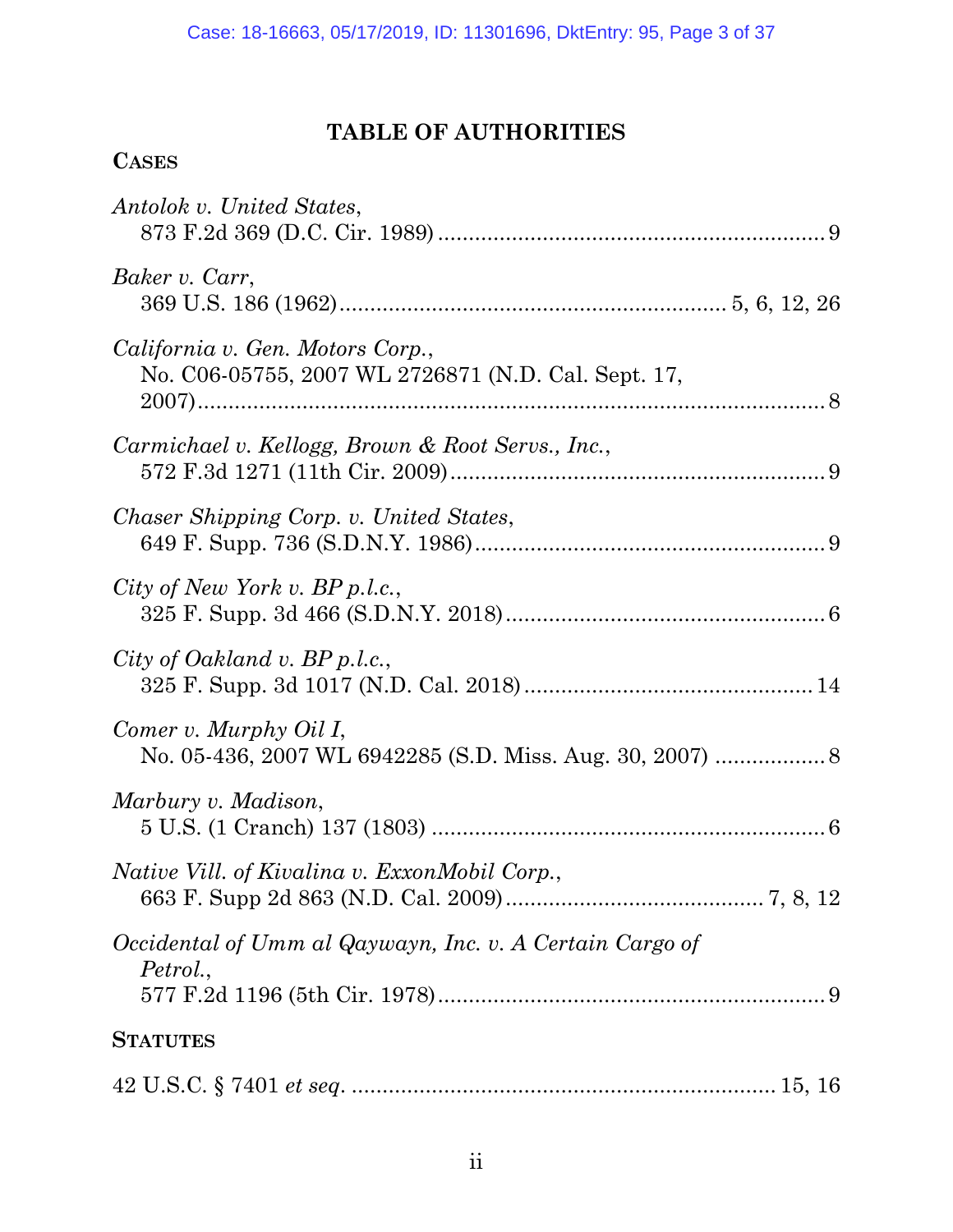## **TABLE OF AUTHORITIES**

## **CASES**

| Antolok v. United States,                                                               |
|-----------------------------------------------------------------------------------------|
| Baker v. Carr,                                                                          |
| California v. Gen. Motors Corp.,<br>No. C06-05755, 2007 WL 2726871 (N.D. Cal. Sept. 17, |
| Carmichael v. Kellogg, Brown & Root Servs., Inc.,                                       |
| Chaser Shipping Corp. v. United States,                                                 |
| City of New York v. $BP$ p.l.c.,                                                        |
| City of Oakland v. BP p.l.c.,                                                           |
| Comer v. Murphy Oil I,                                                                  |
| Marbury v. Madison,                                                                     |
| <i>Native Vill. of Kivalina v. ExxonMobil Corp.,</i>                                    |
| Occidental of Umm al Qaywayn, Inc. v. A Certain Cargo of<br>Petrol.,                    |
| <b>STATUTES</b>                                                                         |
|                                                                                         |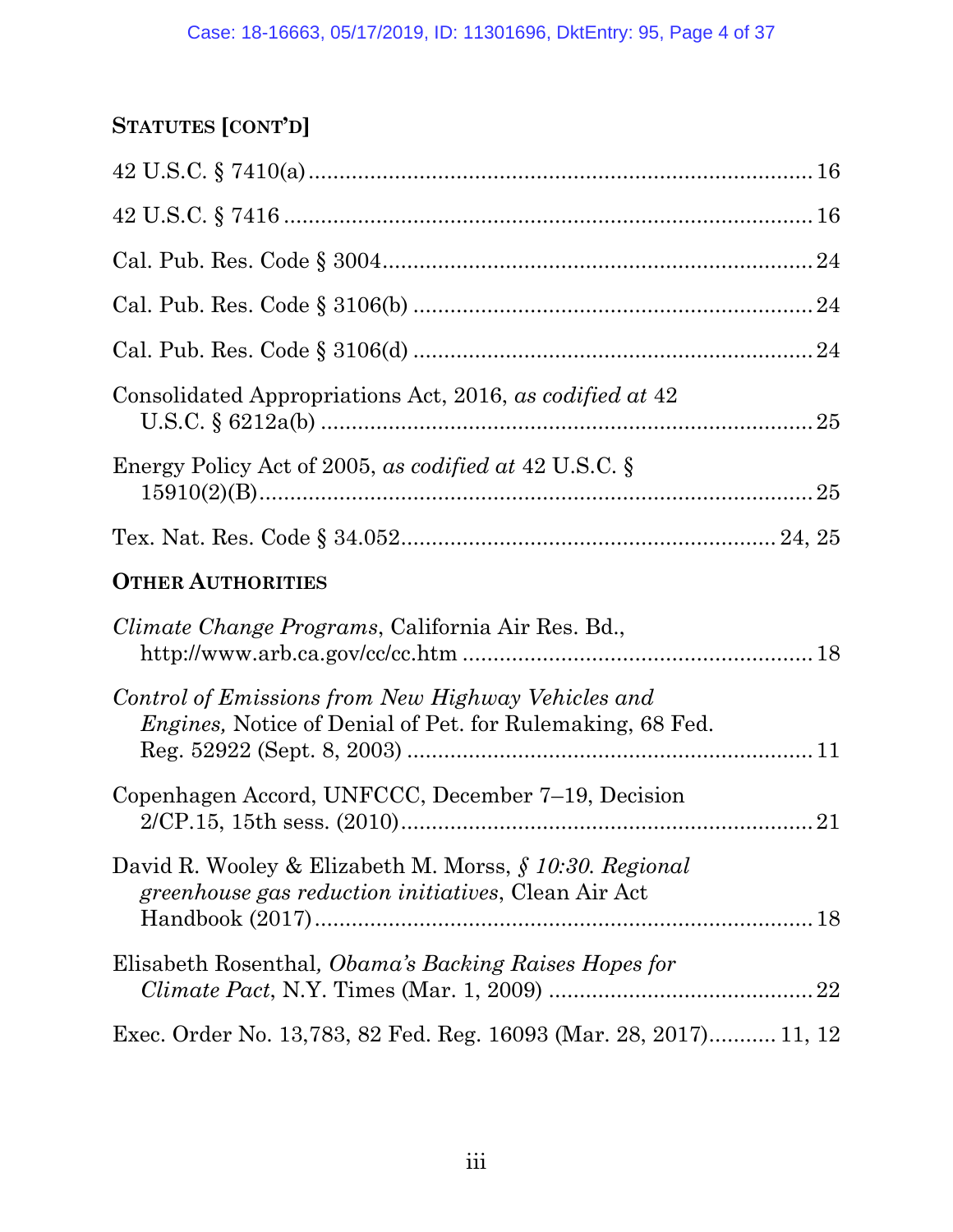# **STATUTES [CONT'D]**

| Consolidated Appropriations Act, 2016, as codified at 42                                                        |  |
|-----------------------------------------------------------------------------------------------------------------|--|
| Energy Policy Act of 2005, as codified at 42 U.S.C. $\S$                                                        |  |
|                                                                                                                 |  |
| <b>OTHER AUTHORITIES</b>                                                                                        |  |
| <i>Climate Change Programs, California Air Res. Bd.,</i>                                                        |  |
| Control of Emissions from New Highway Vehicles and<br>Engines, Notice of Denial of Pet. for Rulemaking, 68 Fed. |  |
| Copenhagen Accord, UNFCCC, December 7–19, Decision                                                              |  |
| David R. Wooley & Elizabeth M. Morss, § 10:30. Regional<br>greenhouse gas reduction initiatives, Clean Air Act  |  |
| Elisabeth Rosenthal, <i>Obama's Backing Raises Hopes for</i>                                                    |  |
| Exec. Order No. 13,783, 82 Fed. Reg. 16093 (Mar. 28, 2017) 11, 12                                               |  |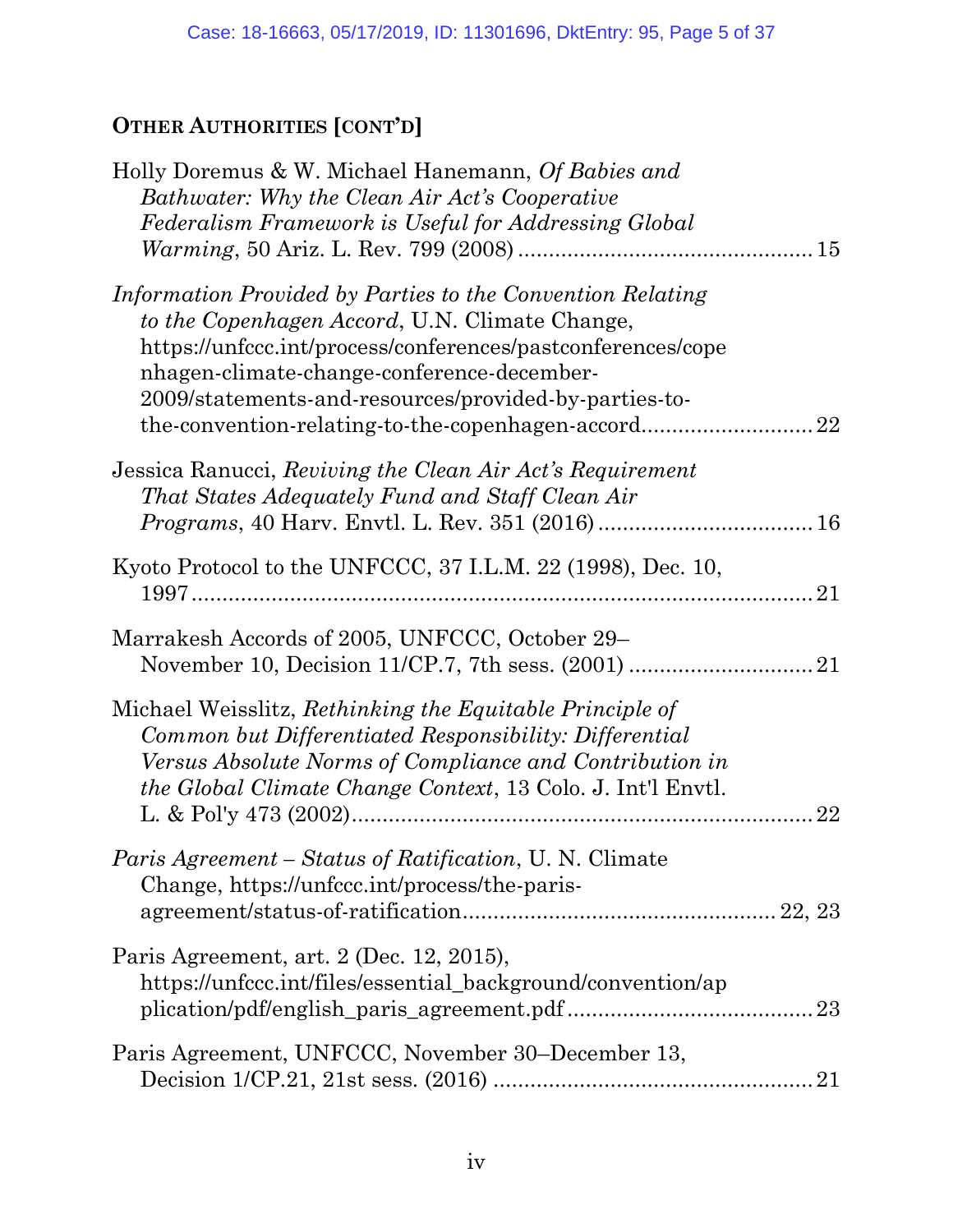# **OTHER AUTHORITIES [CONT'D]**

| Holly Doremus & W. Michael Hanemann, Of Babies and                 |    |
|--------------------------------------------------------------------|----|
| Bathwater: Why the Clean Air Act's Cooperative                     |    |
| Federalism Framework is Useful for Addressing Global               |    |
|                                                                    |    |
| Information Provided by Parties to the Convention Relating         |    |
| to the Copenhagen Accord, U.N. Climate Change,                     |    |
| https://unfccc.int/process/conferences/pastconferences/cope        |    |
| nhagen-climate-change-conference-december-                         |    |
| 2009/statements-and-resources/provided-by-parties-to-              |    |
| the convention-relating-to-the-copenhagen-accord                   | 22 |
|                                                                    |    |
| Jessica Ranucci, Reviving the Clean Air Act's Requirement          |    |
| That States Adequately Fund and Staff Clean Air                    |    |
|                                                                    |    |
|                                                                    |    |
| Kyoto Protocol to the UNFCCC, 37 I.L.M. 22 (1998), Dec. 10,        | 21 |
|                                                                    |    |
| Marrakesh Accords of 2005, UNFCCC, October 29–                     |    |
|                                                                    |    |
|                                                                    |    |
| Michael Weisslitz, Rethinking the Equitable Principle of           |    |
| Common but Differentiated Responsibility: Differential             |    |
| Versus Absolute Norms of Compliance and Contribution in            |    |
| <i>the Global Climate Change Context, 13 Colo. J. Int'l Envtl.</i> |    |
|                                                                    | 22 |
| Paris Agreement - Status of Ratification, U. N. Climate            |    |
| Change, https://unfccc.int/process/the-paris-                      |    |
|                                                                    |    |
|                                                                    |    |
| Paris Agreement, art. 2 (Dec. 12, 2015),                           |    |
| https://unfccc.int/files/essential_background/convention/ap        |    |
|                                                                    |    |
| Paris Agreement, UNFCCC, November 30–December 13,                  |    |
|                                                                    |    |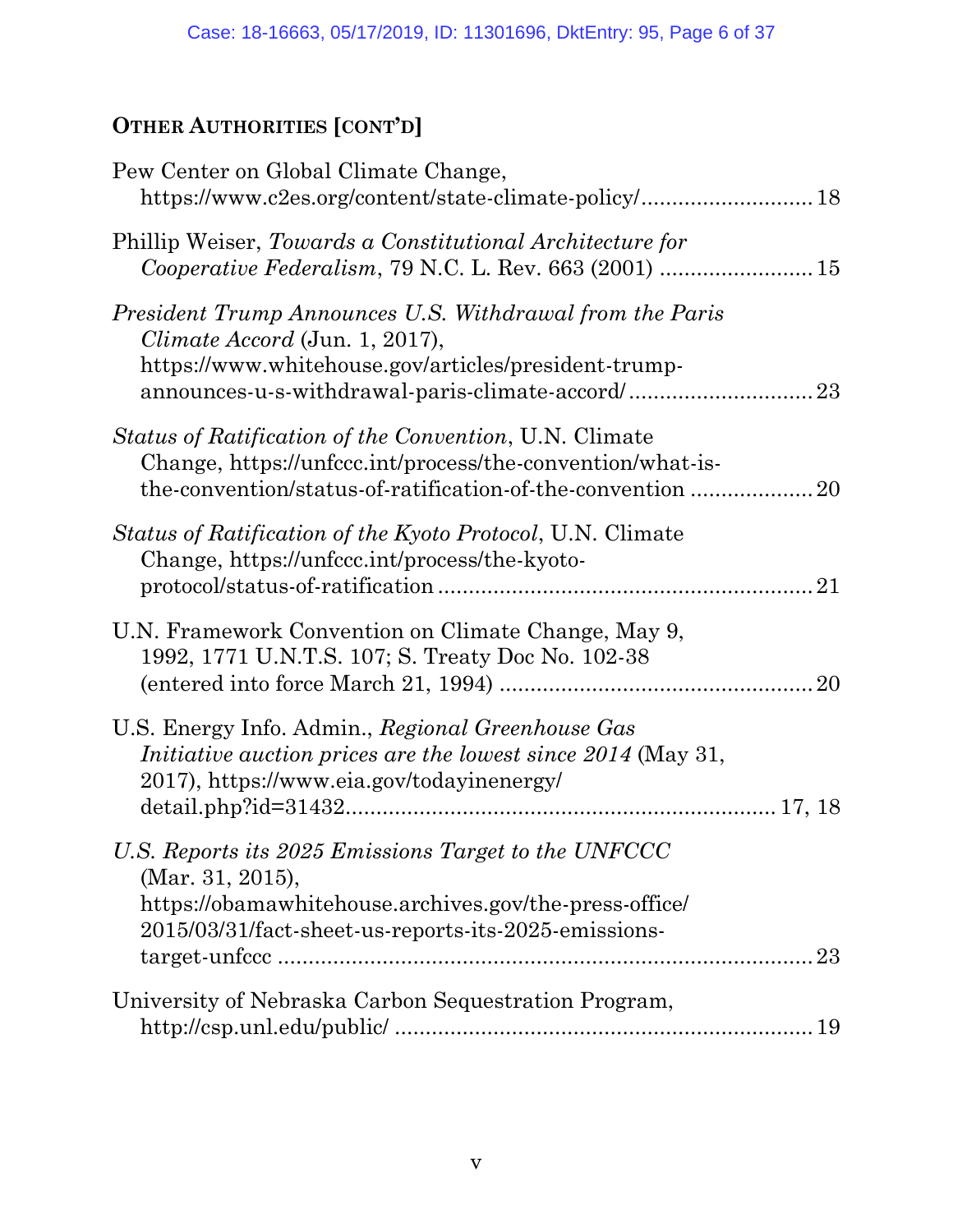# **OTHER AUTHORITIES [CONT'D]**

| Pew Center on Global Climate Change,                                                                                                                                                       |    |
|--------------------------------------------------------------------------------------------------------------------------------------------------------------------------------------------|----|
| Phillip Weiser, Towards a Constitutional Architecture for                                                                                                                                  |    |
| President Trump Announces U.S. Withdrawal from the Paris<br>Climate Accord (Jun. 1, 2017),<br>https://www.whitehouse.gov/articles/president-trump-                                         |    |
| Status of Ratification of the Convention, U.N. Climate<br>Change, https://unfccc.int/process/the-convention/what-is-<br>the-convention/status-of-ratification-of-the-convention            | 20 |
| <i>Status of Ratification of the Kyoto Protocol, U.N. Climate</i><br>Change, https://unfccc.int/process/the-kyoto-                                                                         | 21 |
| U.N. Framework Convention on Climate Change, May 9,<br>1992, 1771 U.N.T.S. 107; S. Treaty Doc No. 102-38                                                                                   | 20 |
| U.S. Energy Info. Admin., Regional Greenhouse Gas<br><i>Initiative auction prices are the lowest since 2014</i> (May 31,<br>2017), https://www.eia.gov/todayinenergy/                      |    |
| U.S. Reports its 2025 Emissions Target to the UNFCCC<br>(Mar. 31, 2015),<br>https://obamawhitehouse.archives.gov/the-press-office/<br>2015/03/31/fact-sheet-us-reports-its-2025-emissions- |    |
| University of Nebraska Carbon Sequestration Program,                                                                                                                                       |    |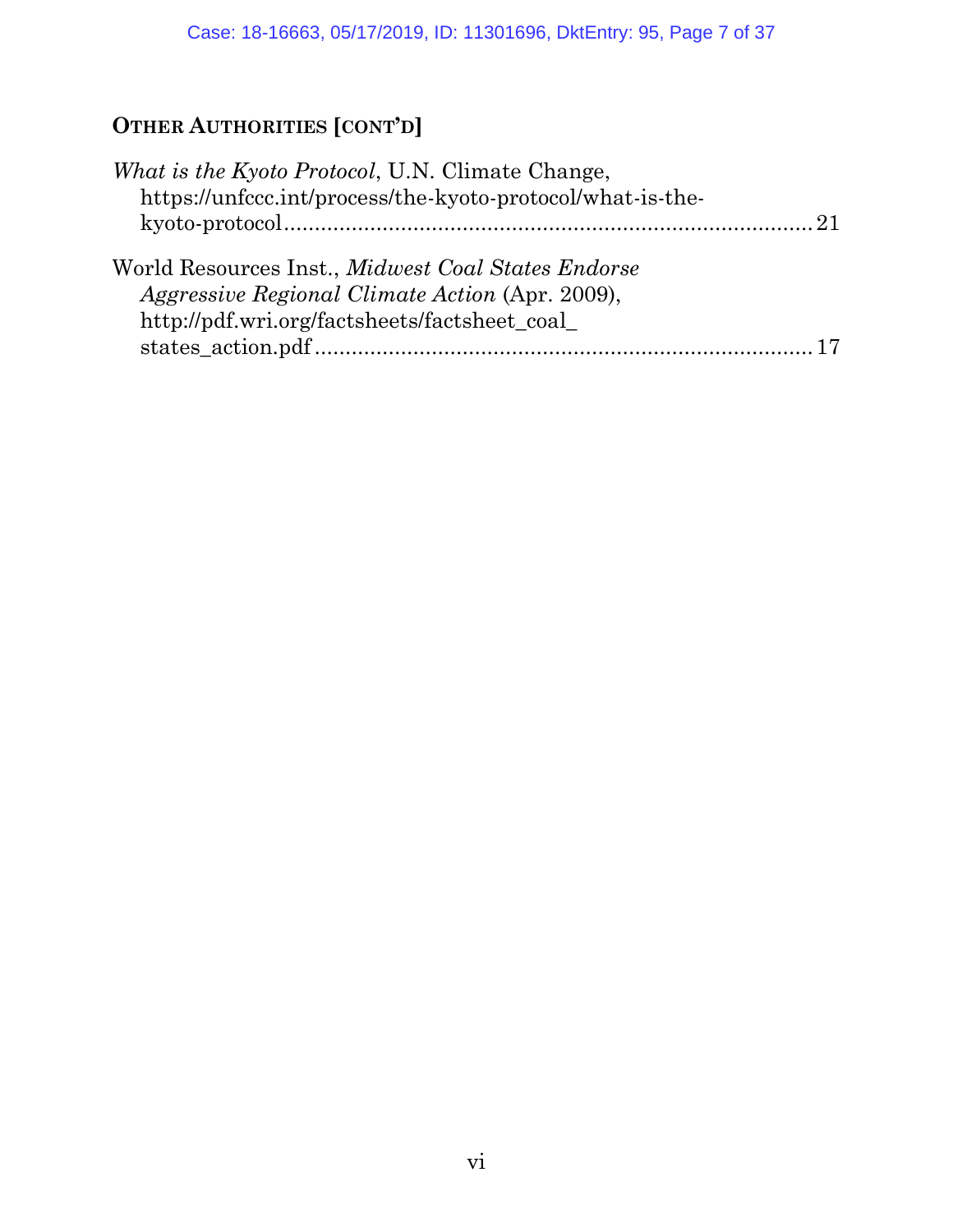# **OTHER AUTHORITIES [CONT'D]**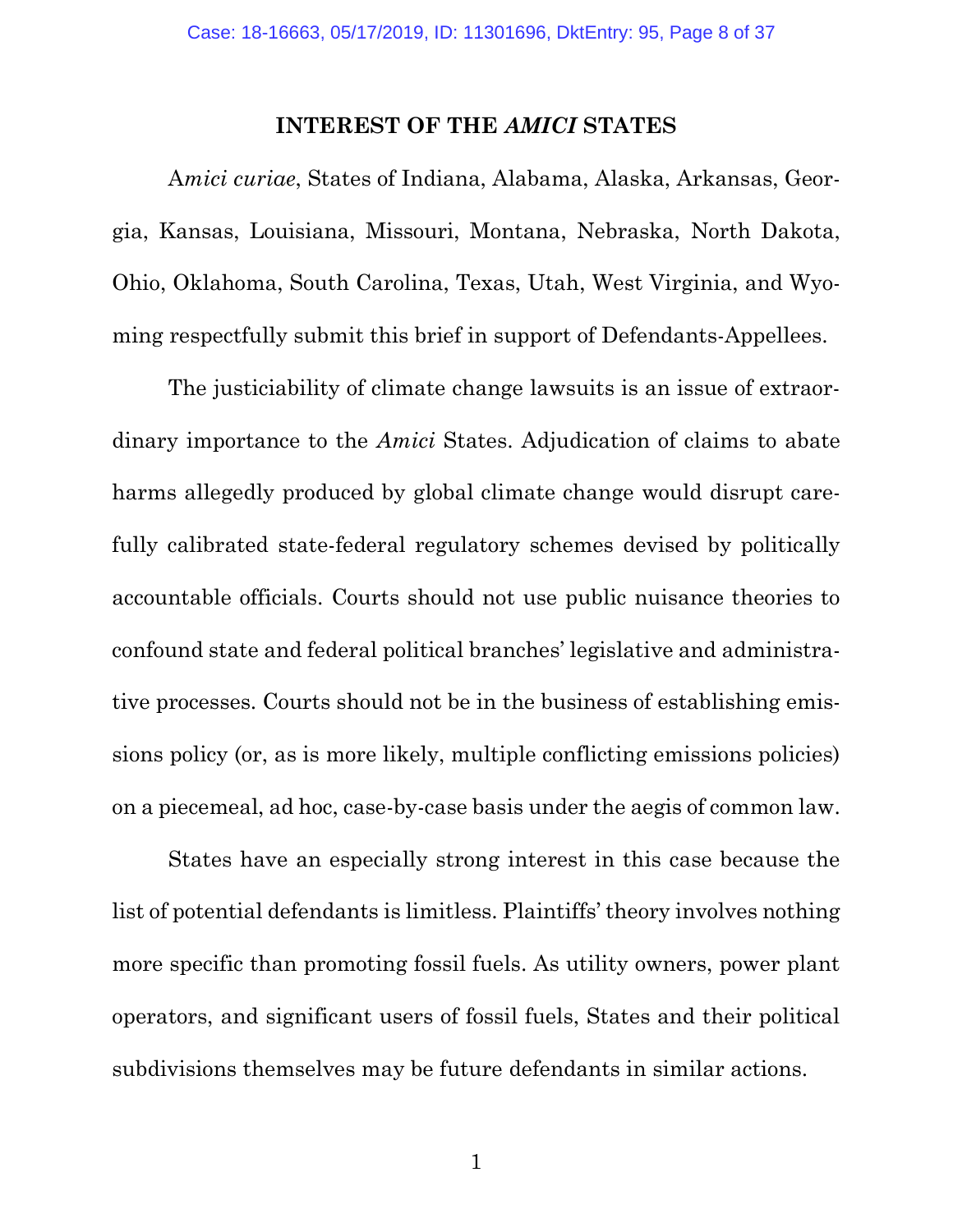#### **INTEREST OF THE** *AMICI* **STATES**

A*mici curiae*, States of Indiana, Alabama, Alaska, Arkansas, Georgia, Kansas, Louisiana, Missouri, Montana, Nebraska, North Dakota, Ohio, Oklahoma, South Carolina, Texas, Utah, West Virginia, and Wyoming respectfully submit this brief in support of Defendants-Appellees.

The justiciability of climate change lawsuits is an issue of extraordinary importance to the *Amici* States. Adjudication of claims to abate harms allegedly produced by global climate change would disrupt carefully calibrated state-federal regulatory schemes devised by politically accountable officials. Courts should not use public nuisance theories to confound state and federal political branches' legislative and administrative processes. Courts should not be in the business of establishing emissions policy (or, as is more likely, multiple conflicting emissions policies) on a piecemeal, ad hoc, case-by-case basis under the aegis of common law.

States have an especially strong interest in this case because the list of potential defendants is limitless. Plaintiffs' theory involves nothing more specific than promoting fossil fuels. As utility owners, power plant operators, and significant users of fossil fuels, States and their political subdivisions themselves may be future defendants in similar actions.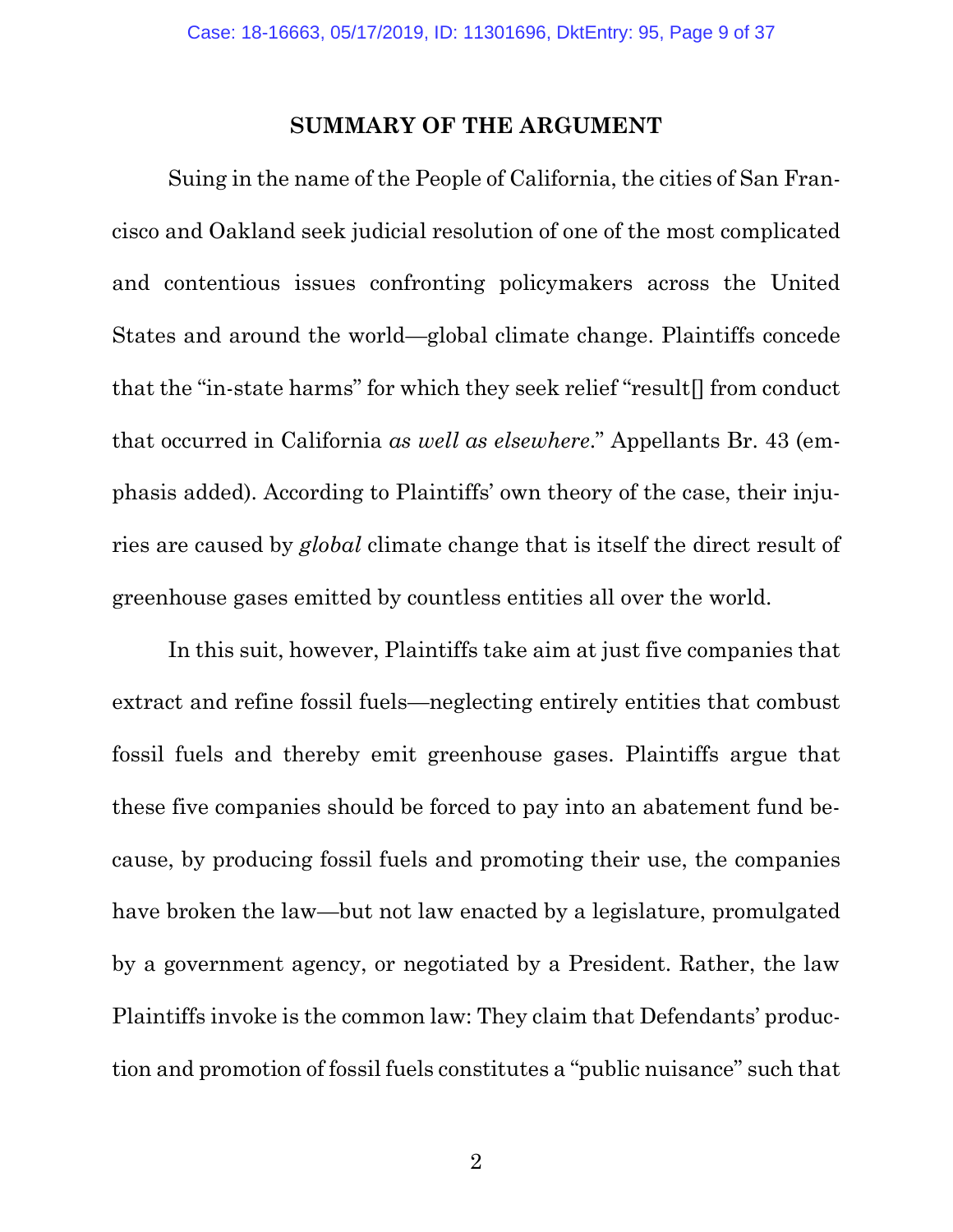#### **SUMMARY OF THE ARGUMENT**

Suing in the name of the People of California, the cities of San Francisco and Oakland seek judicial resolution of one of the most complicated and contentious issues confronting policymakers across the United States and around the world—global climate change. Plaintiffs concede that the "in-state harms" for which they seek relief "result[] from conduct that occurred in California *as well as elsewhere*." Appellants Br. 43 (emphasis added). According to Plaintiffs' own theory of the case, their injuries are caused by *global* climate change that is itself the direct result of greenhouse gases emitted by countless entities all over the world.

In this suit, however, Plaintiffs take aim at just five companies that extract and refine fossil fuels—neglecting entirely entities that combust fossil fuels and thereby emit greenhouse gases. Plaintiffs argue that these five companies should be forced to pay into an abatement fund because, by producing fossil fuels and promoting their use, the companies have broken the law—but not law enacted by a legislature, promulgated by a government agency, or negotiated by a President. Rather, the law Plaintiffs invoke is the common law: They claim that Defendants' production and promotion of fossil fuels constitutes a "public nuisance" such that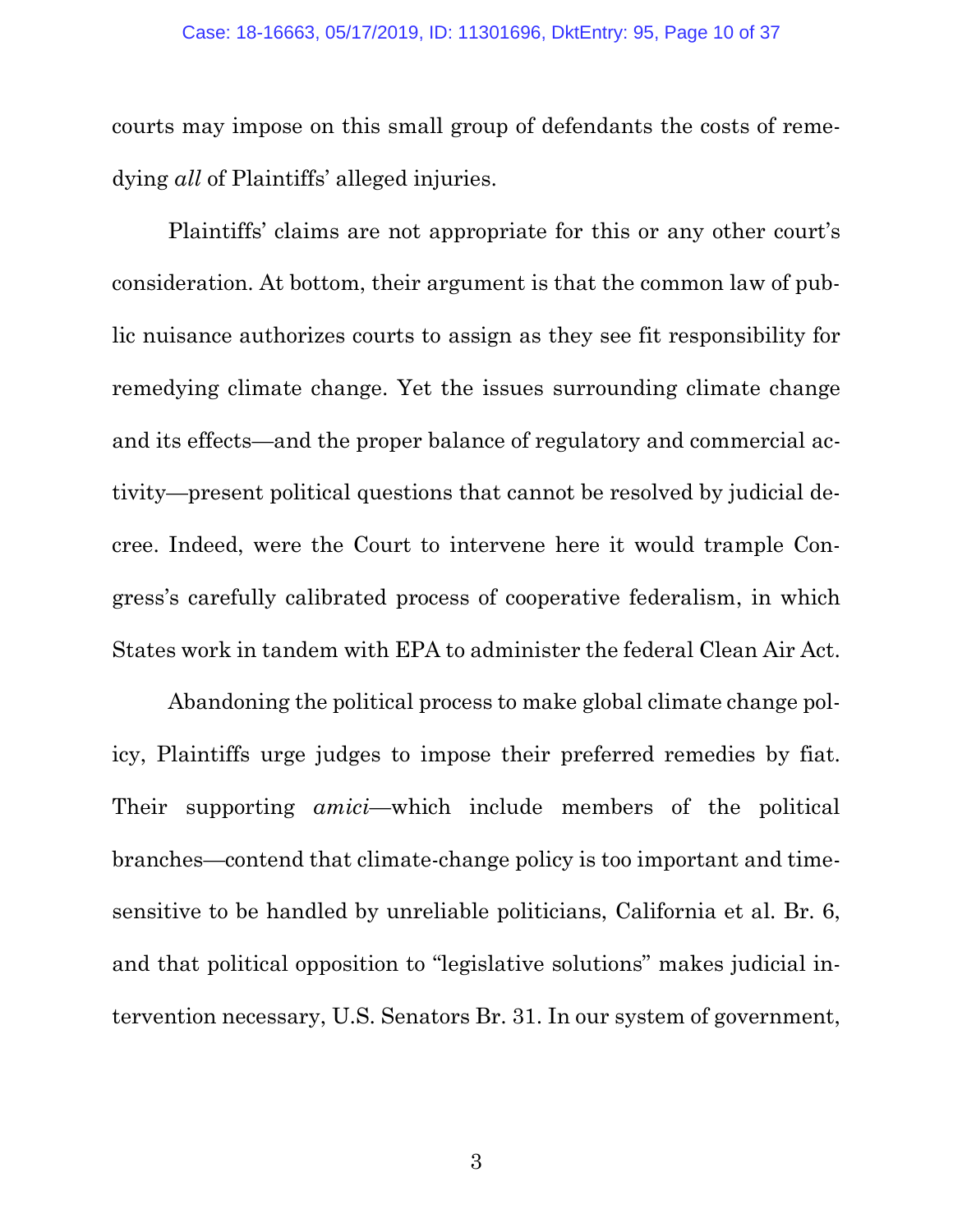courts may impose on this small group of defendants the costs of remedying *all* of Plaintiffs' alleged injuries.

Plaintiffs' claims are not appropriate for this or any other court's consideration. At bottom, their argument is that the common law of public nuisance authorizes courts to assign as they see fit responsibility for remedying climate change. Yet the issues surrounding climate change and its effects—and the proper balance of regulatory and commercial activity—present political questions that cannot be resolved by judicial decree. Indeed, were the Court to intervene here it would trample Congress's carefully calibrated process of cooperative federalism, in which States work in tandem with EPA to administer the federal Clean Air Act.

Abandoning the political process to make global climate change policy, Plaintiffs urge judges to impose their preferred remedies by fiat. Their supporting *amici*—which include members of the political branches—contend that climate-change policy is too important and timesensitive to be handled by unreliable politicians, California et al. Br. 6, and that political opposition to "legislative solutions" makes judicial intervention necessary, U.S. Senators Br. 31. In our system of government,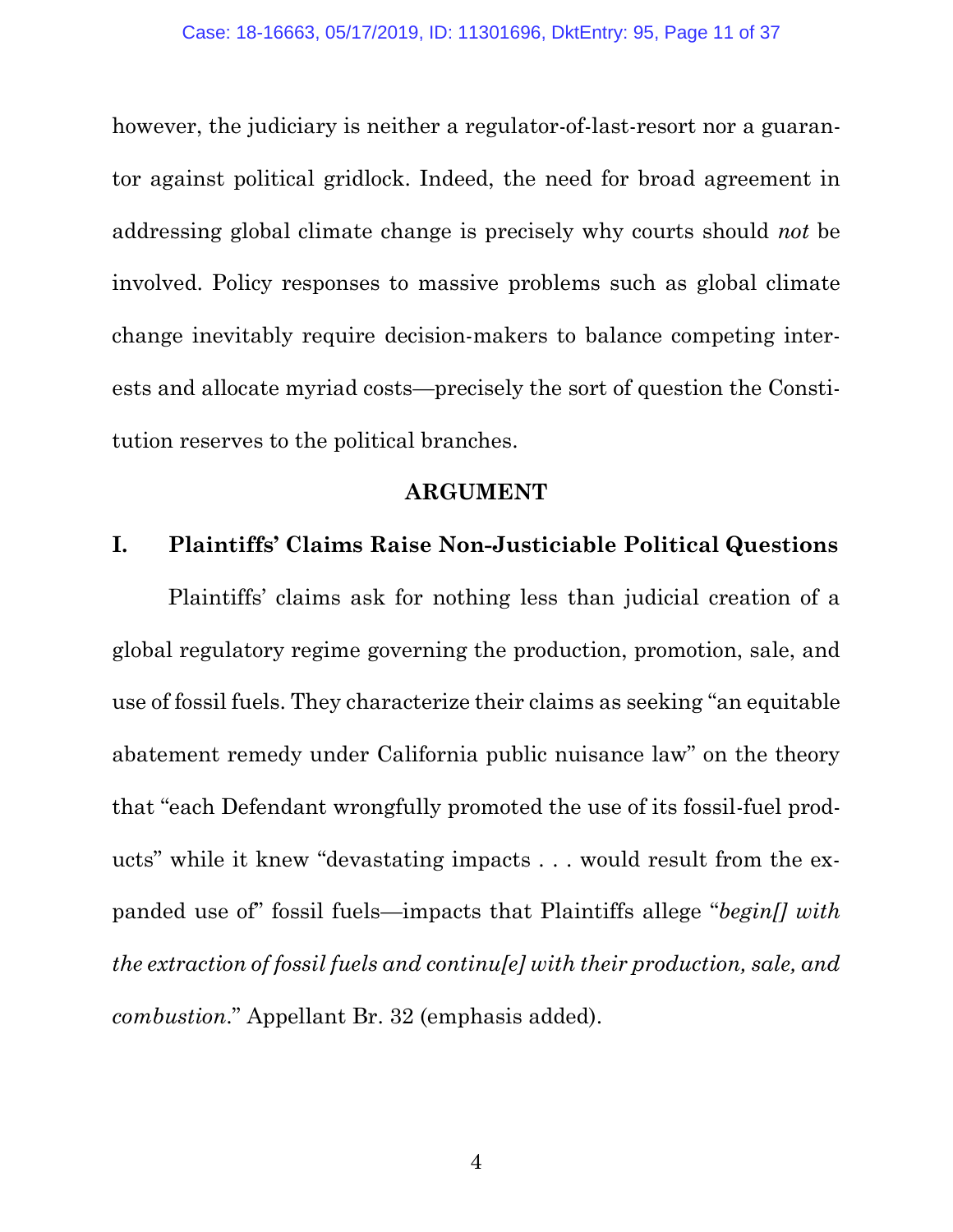however, the judiciary is neither a regulator-of-last-resort nor a guarantor against political gridlock. Indeed, the need for broad agreement in addressing global climate change is precisely why courts should *not* be involved. Policy responses to massive problems such as global climate change inevitably require decision-makers to balance competing interests and allocate myriad costs—precisely the sort of question the Constitution reserves to the political branches.

### **ARGUMENT**

### **I. Plaintiffs' Claims Raise Non-Justiciable Political Questions**

Plaintiffs' claims ask for nothing less than judicial creation of a global regulatory regime governing the production, promotion, sale, and use of fossil fuels. They characterize their claims as seeking "an equitable abatement remedy under California public nuisance law" on the theory that "each Defendant wrongfully promoted the use of its fossil-fuel products" while it knew "devastating impacts . . . would result from the expanded use of" fossil fuels—impacts that Plaintiffs allege "*begin[] with the extraction of fossil fuels and continu[e] with their production, sale, and combustion*." Appellant Br. 32 (emphasis added).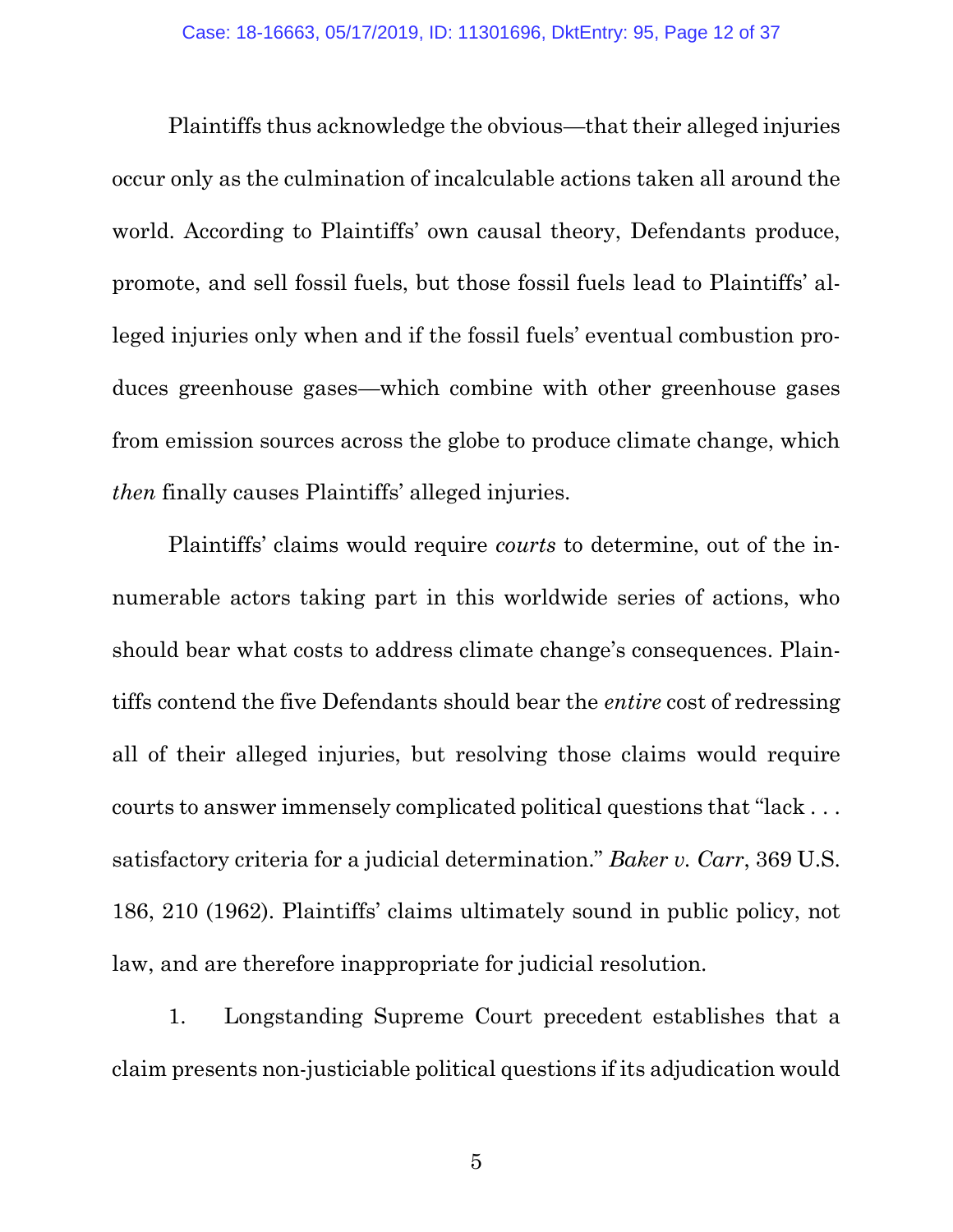Plaintiffs thus acknowledge the obvious—that their alleged injuries occur only as the culmination of incalculable actions taken all around the world. According to Plaintiffs' own causal theory, Defendants produce, promote, and sell fossil fuels, but those fossil fuels lead to Plaintiffs' alleged injuries only when and if the fossil fuels' eventual combustion produces greenhouse gases—which combine with other greenhouse gases from emission sources across the globe to produce climate change, which *then* finally causes Plaintiffs' alleged injuries.

Plaintiffs' claims would require *courts* to determine, out of the innumerable actors taking part in this worldwide series of actions, who should bear what costs to address climate change's consequences. Plaintiffs contend the five Defendants should bear the *entire* cost of redressing all of their alleged injuries, but resolving those claims would require courts to answer immensely complicated political questions that "lack . . . satisfactory criteria for a judicial determination." *Baker v. Carr*, 369 U.S. 186, 210 (1962). Plaintiffs' claims ultimately sound in public policy, not law, and are therefore inappropriate for judicial resolution.

<span id="page-11-0"></span>1. Longstanding Supreme Court precedent establishes that a claim presents non-justiciable political questions if its adjudication would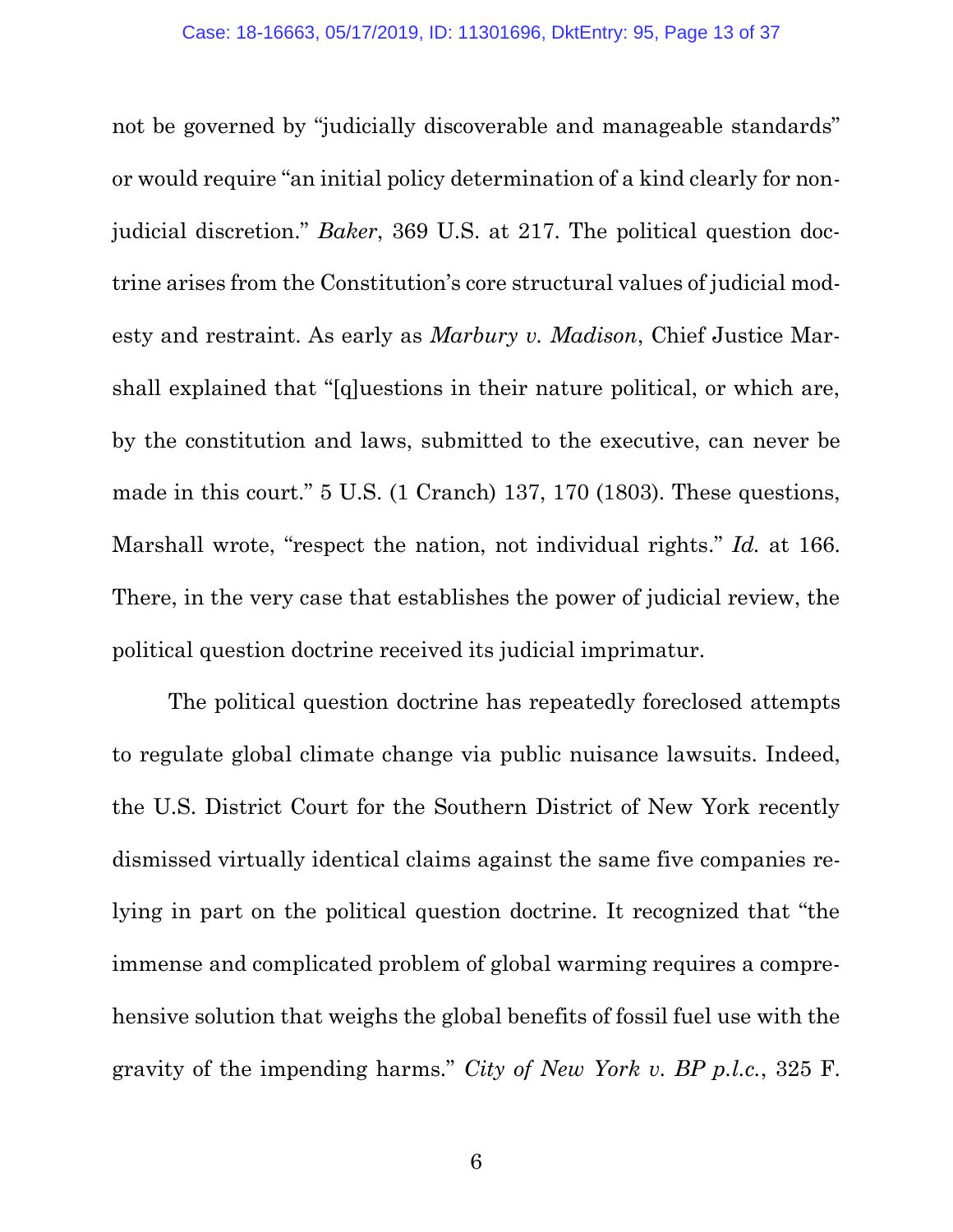<span id="page-12-2"></span><span id="page-12-0"></span>not be governed by "judicially discoverable and manageable standards" or would require "an initial policy determination of a kind clearly for nonjudicial discretion." *Baker*, 369 U.S. at 217. The political question doctrine arises from the Constitution's core structural values of judicial modesty and restraint. As early as *Marbury v. Madison*, Chief Justice Marshall explained that "[q]uestions in their nature political, or which are, by the constitution and laws, submitted to the executive, can never be made in this court." 5 U.S. (1 Cranch) 137, 170 (1803). These questions, Marshall wrote, "respect the nation, not individual rights." *Id.* at 166. There, in the very case that establishes the power of judicial review, the political question doctrine received its judicial imprimatur.

<span id="page-12-1"></span>The political question doctrine has repeatedly foreclosed attempts to regulate global climate change via public nuisance lawsuits. Indeed, the U.S. District Court for the Southern District of New York recently dismissed virtually identical claims against the same five companies relying in part on the political question doctrine. It recognized that "the immense and complicated problem of global warming requires a comprehensive solution that weighs the global benefits of fossil fuel use with the gravity of the impending harms." *City of New York v. BP p.l.c.*, 325 F.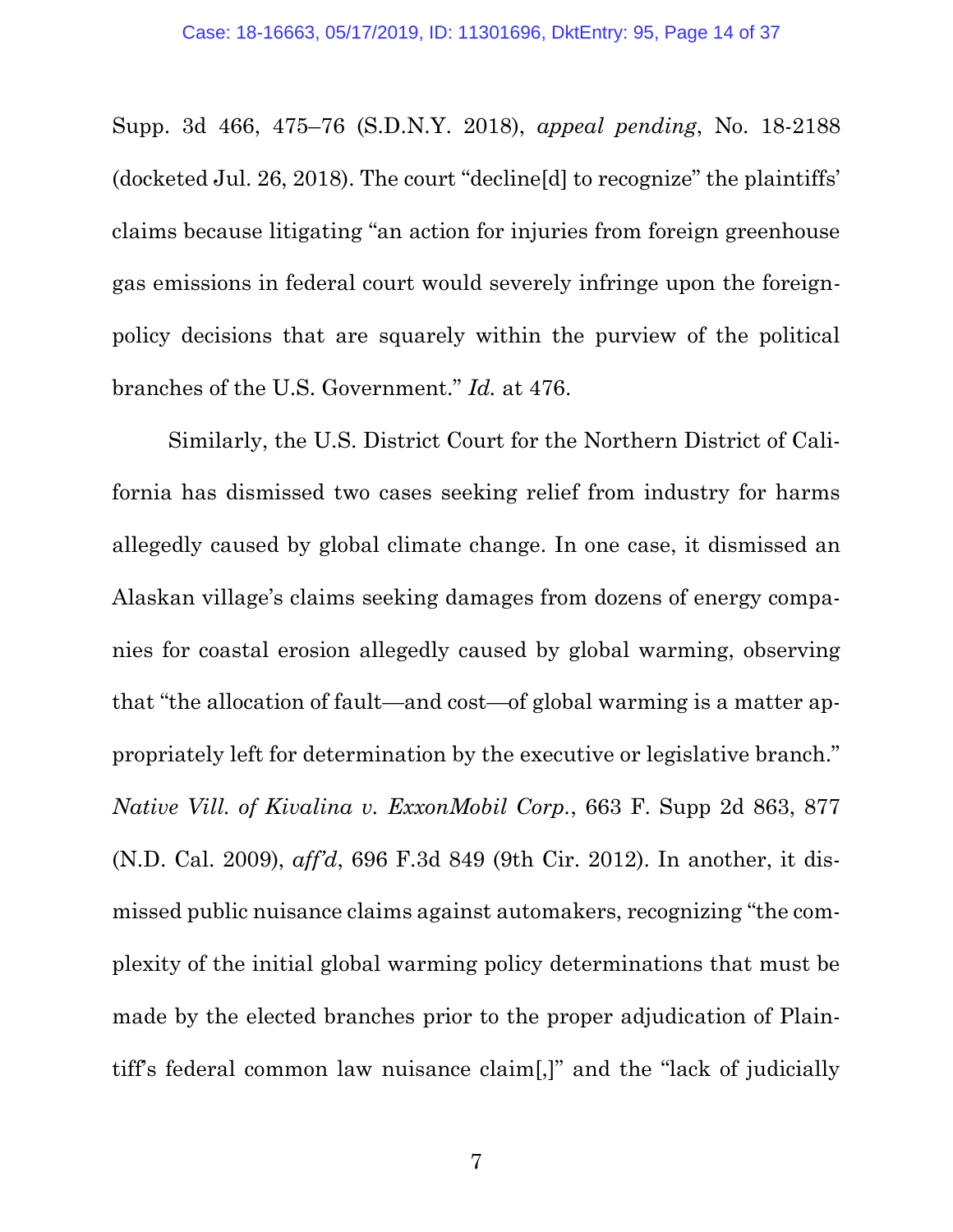Supp. 3d 466, 475–76 (S.D.N.Y. 2018), *appeal pending*, No. 18-2188 (docketed Jul. 26, 2018). The court "decline[d] to recognize" the plaintiffs' claims because litigating "an action for injuries from foreign greenhouse gas emissions in federal court would severely infringe upon the foreignpolicy decisions that are squarely within the purview of the political branches of the U.S. Government." *Id.* at 476.

<span id="page-13-0"></span>Similarly, the U.S. District Court for the Northern District of California has dismissed two cases seeking relief from industry for harms allegedly caused by global climate change. In one case, it dismissed an Alaskan village's claims seeking damages from dozens of energy companies for coastal erosion allegedly caused by global warming, observing that "the allocation of fault—and cost—of global warming is a matter appropriately left for determination by the executive or legislative branch." *Native Vill. of Kivalina v. ExxonMobil Corp.*, 663 F. Supp 2d 863, 877 (N.D. Cal. 2009), *aff'd*, 696 F.3d 849 (9th Cir. 2012). In another, it dismissed public nuisance claims against automakers, recognizing "the complexity of the initial global warming policy determinations that must be made by the elected branches prior to the proper adjudication of Plaintiff's federal common law nuisance claim[,]" and the "lack of judicially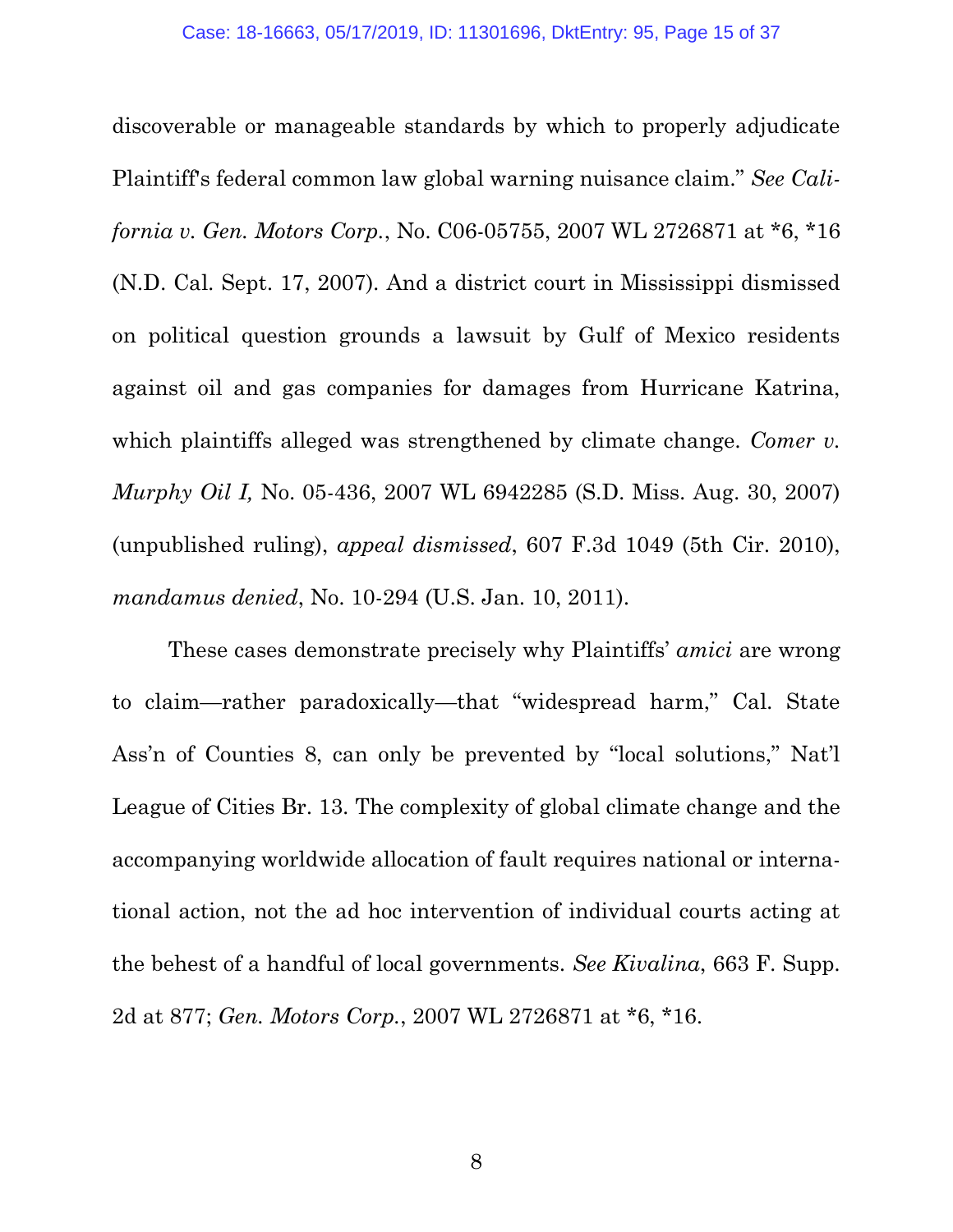<span id="page-14-0"></span>discoverable or manageable standards by which to properly adjudicate Plaintiff's federal common law global warning nuisance claim." *See California v. Gen. Motors Corp.*, No. C06-05755, 2007 WL 2726871 at \*6, \*16 (N.D. Cal. Sept. 17, 2007). And a district court in Mississippi dismissed on political question grounds a lawsuit by Gulf of Mexico residents against oil and gas companies for damages from Hurricane Katrina, which plaintiffs alleged was strengthened by climate change. *Comer v. Murphy Oil I,* No. 05-436, 2007 WL 6942285 (S.D. Miss. Aug. 30, 2007) (unpublished ruling), *appeal dismissed*, 607 F.3d 1049 (5th Cir. 2010), *mandamus denied*, No. 10-294 (U.S. Jan. 10, 2011).

<span id="page-14-2"></span><span id="page-14-1"></span>These cases demonstrate precisely why Plaintiffs' *amici* are wrong to claim—rather paradoxically—that "widespread harm," Cal. State Ass'n of Counties 8, can only be prevented by "local solutions," Nat'l League of Cities Br. 13. The complexity of global climate change and the accompanying worldwide allocation of fault requires national or international action, not the ad hoc intervention of individual courts acting at the behest of a handful of local governments. *See Kivalina*, 663 F. Supp. 2d at 877; *Gen. Motors Corp.*, 2007 WL 2726871 at \*6, \*16.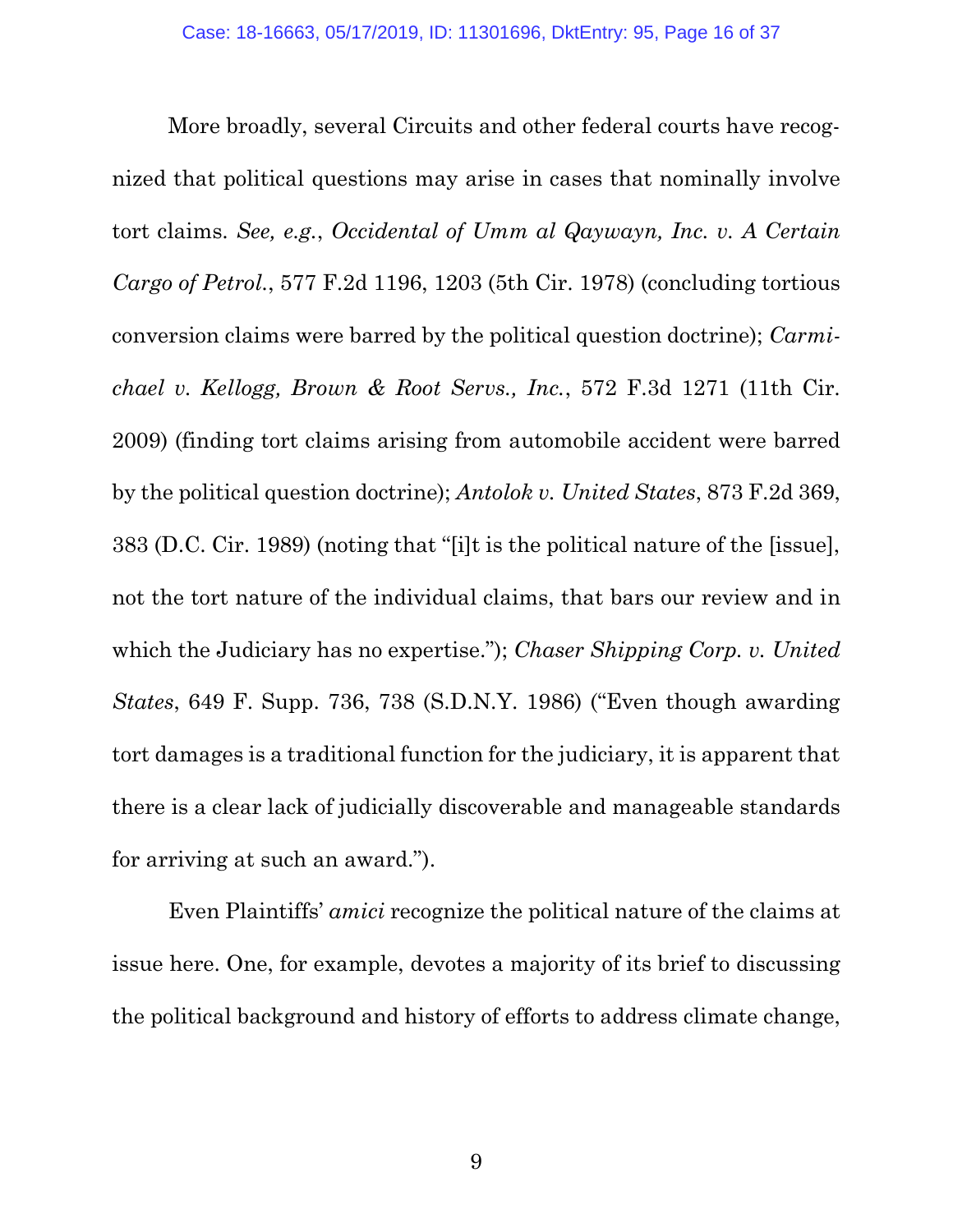<span id="page-15-3"></span><span id="page-15-1"></span><span id="page-15-0"></span>More broadly, several Circuits and other federal courts have recognized that political questions may arise in cases that nominally involve tort claims. *See, e.g.*, *Occidental of Umm al Qaywayn, Inc. v. A Certain Cargo of Petrol.*, 577 F.2d 1196, 1203 (5th Cir. 1978) (concluding tortious conversion claims were barred by the political question doctrine); *Carmichael v. Kellogg, Brown & Root Servs., Inc.*, 572 F.3d 1271 (11th Cir. 2009) (finding tort claims arising from automobile accident were barred by the political question doctrine); *Antolok v. United States*, 873 F.2d 369, 383 (D.C. Cir. 1989) (noting that "[i]t is the political nature of the [issue], not the tort nature of the individual claims, that bars our review and in which the Judiciary has no expertise."); *Chaser Shipping Corp. v. United States*, 649 F. Supp. 736, 738 (S.D.N.Y. 1986) ("Even though awarding tort damages is a traditional function for the judiciary, it is apparent that there is a clear lack of judicially discoverable and manageable standards for arriving at such an award.").

<span id="page-15-2"></span>Even Plaintiffs' *amici* recognize the political nature of the claims at issue here. One, for example, devotes a majority of its brief to discussing the political background and history of efforts to address climate change,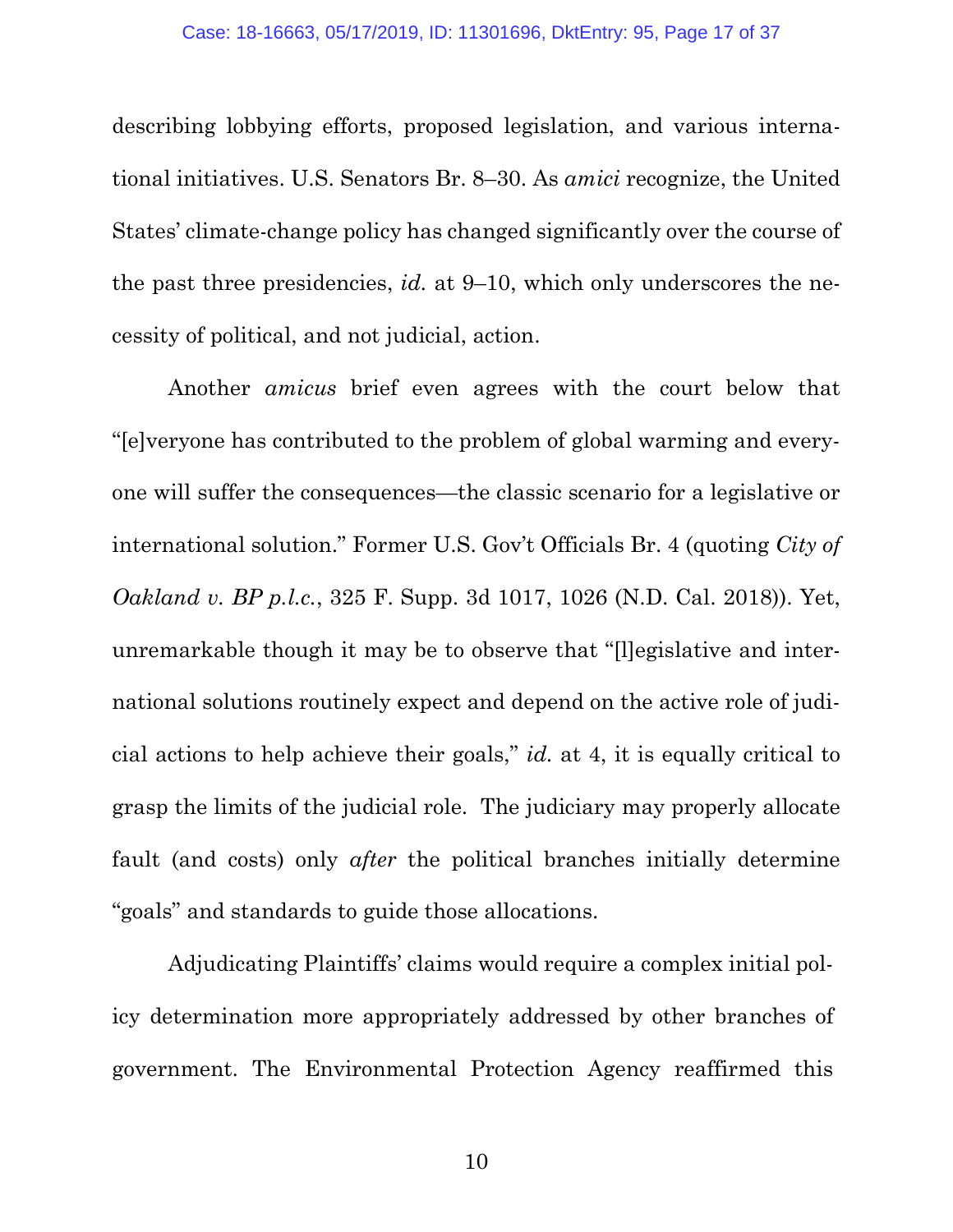describing lobbying efforts, proposed legislation, and various international initiatives. U.S. Senators Br. 8–30. As *amici* recognize, the United States' climate-change policy has changed significantly over the course of the past three presidencies, *id.* at 9–10, which only underscores the necessity of political, and not judicial, action.

Another *amicus* brief even agrees with the court below that "[e]veryone has contributed to the problem of global warming and everyone will suffer the consequences—the classic scenario for a legislative or international solution." Former U.S. Gov't Officials Br. 4 (quoting *City of Oakland v. BP p.l.c.*, 325 F. Supp. 3d 1017, 1026 (N.D. Cal. 2018)). Yet, unremarkable though it may be to observe that "[l]egislative and international solutions routinely expect and depend on the active role of judicial actions to help achieve their goals," *id.* at 4, it is equally critical to grasp the limits of the judicial role. The judiciary may properly allocate fault (and costs) only *after* the political branches initially determine "goals" and standards to guide those allocations.

Adjudicating Plaintiffs' claims would require a complex initial policy determination more appropriately addressed by other branches of government. The Environmental Protection Agency reaffirmed this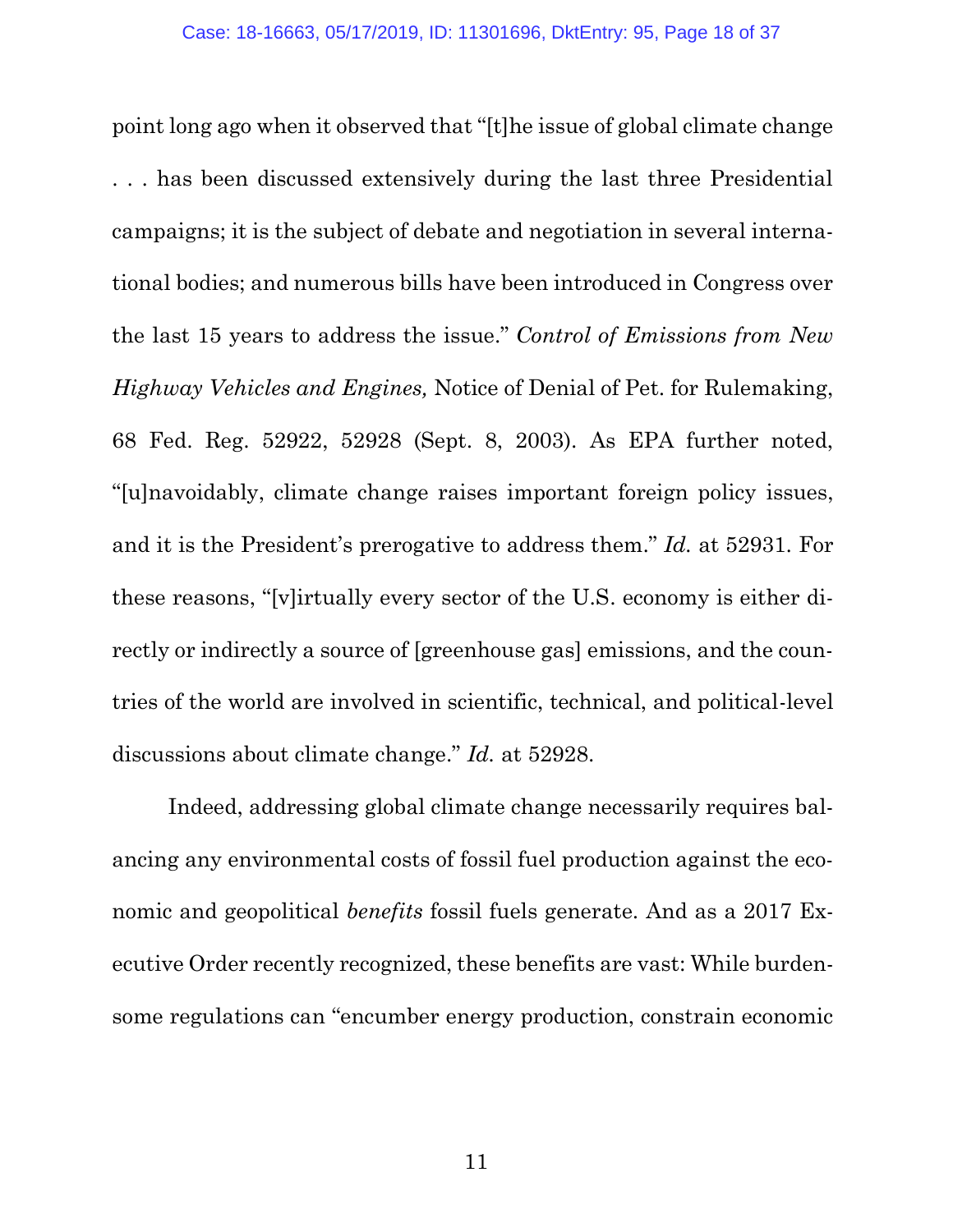<span id="page-17-0"></span>point long ago when it observed that "[t]he issue of global climate change . . . has been discussed extensively during the last three Presidential campaigns; it is the subject of debate and negotiation in several international bodies; and numerous bills have been introduced in Congress over the last 15 years to address the issue." *Control of Emissions from New Highway Vehicles and Engines,* Notice of Denial of Pet. for Rulemaking, 68 Fed. Reg. 52922, 52928 (Sept. 8, 2003). As EPA further noted, "[u]navoidably, climate change raises important foreign policy issues, and it is the President's prerogative to address them." *Id.* at 52931. For these reasons, "[v]irtually every sector of the U.S. economy is either directly or indirectly a source of [greenhouse gas] emissions, and the countries of the world are involved in scientific, technical, and political-level discussions about climate change." *Id.* at 52928.

Indeed, addressing global climate change necessarily requires balancing any environmental costs of fossil fuel production against the economic and geopolitical *benefits* fossil fuels generate. And as a 2017 Executive Order recently recognized, these benefits are vast: While burdensome regulations can "encumber energy production, constrain economic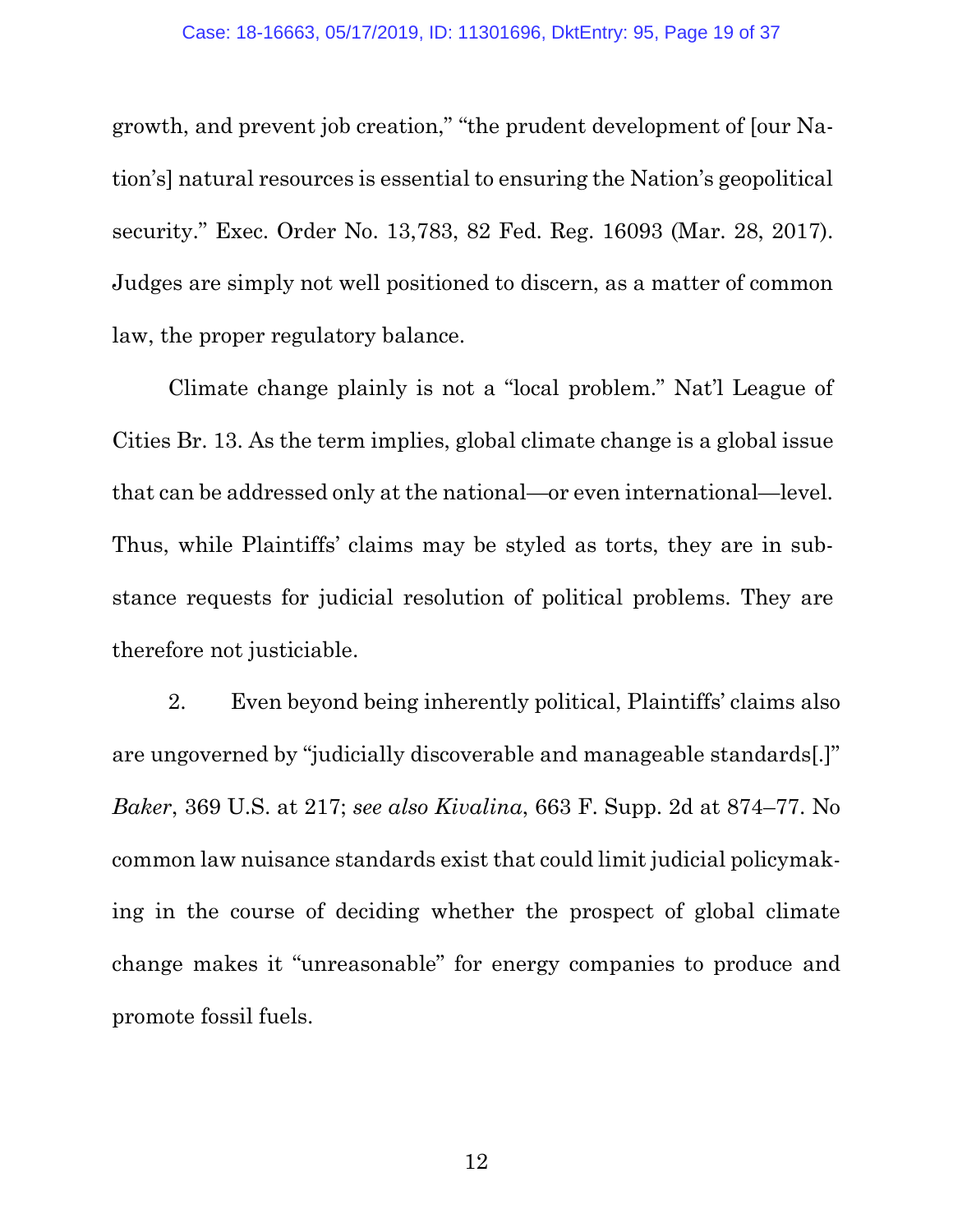<span id="page-18-2"></span>growth, and prevent job creation," "the prudent development of [our Nation's] natural resources is essential to ensuring the Nation's geopolitical security." Exec. Order No. 13,783, 82 Fed. Reg. 16093 (Mar. 28, 2017). Judges are simply not well positioned to discern, as a matter of common law, the proper regulatory balance.

Climate change plainly is not a "local problem." Nat'l League of Cities Br. 13. As the term implies, global climate change is a global issue that can be addressed only at the national—or even international—level. Thus, while Plaintiffs' claims may be styled as torts, they are in substance requests for judicial resolution of political problems. They are therefore not justiciable.

<span id="page-18-1"></span><span id="page-18-0"></span>2. Even beyond being inherently political, Plaintiffs' claims also are ungoverned by "judicially discoverable and manageable standards[.]" *Baker*, 369 U.S. at 217; *see also Kivalina*, 663 F. Supp. 2d at 874–77. No common law nuisance standards exist that could limit judicial policymaking in the course of deciding whether the prospect of global climate change makes it "unreasonable" for energy companies to produce and promote fossil fuels.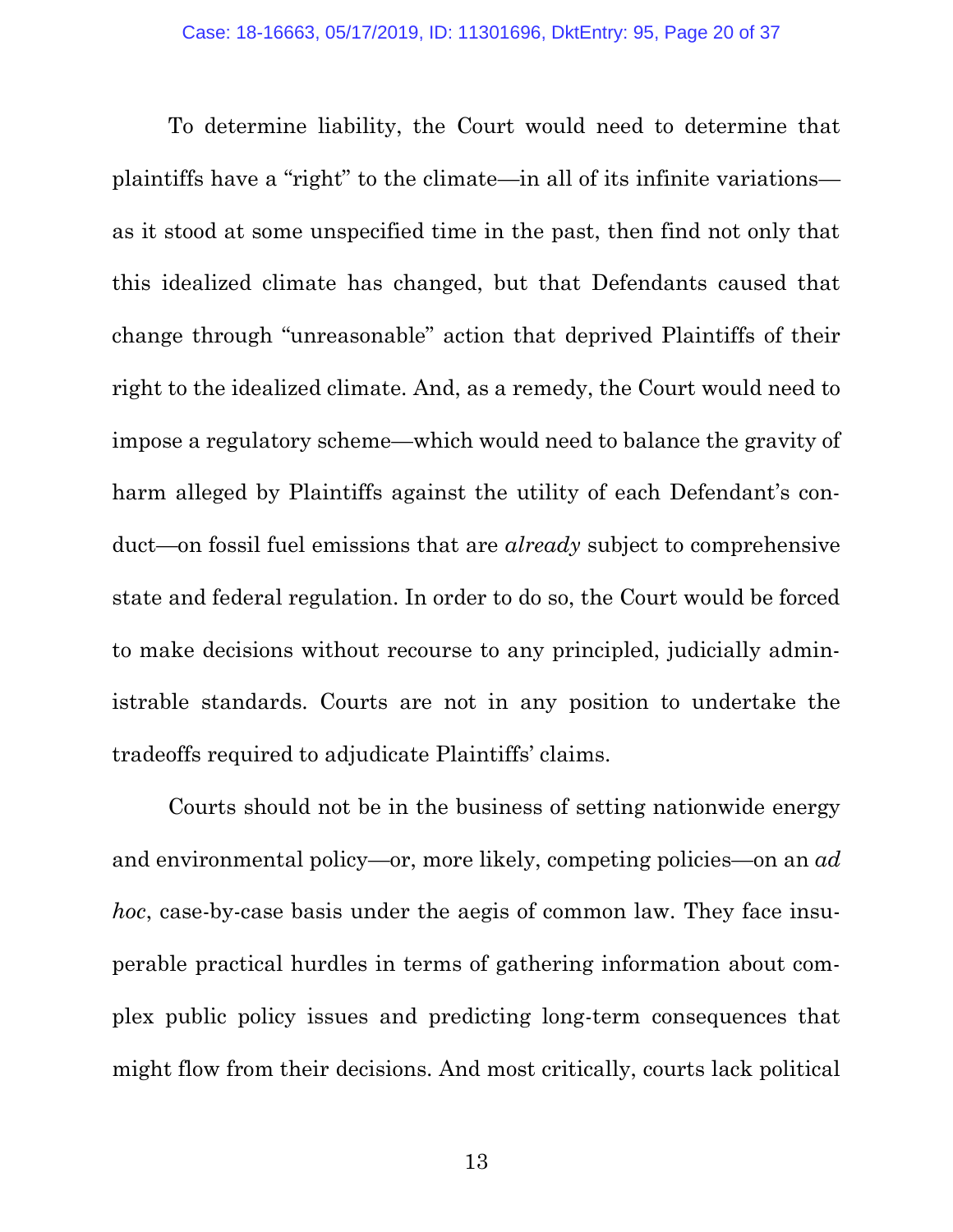To determine liability, the Court would need to determine that plaintiffs have a "right" to the climate—in all of its infinite variations as it stood at some unspecified time in the past, then find not only that this idealized climate has changed, but that Defendants caused that change through "unreasonable" action that deprived Plaintiffs of their right to the idealized climate. And, as a remedy, the Court would need to impose a regulatory scheme—which would need to balance the gravity of harm alleged by Plaintiffs against the utility of each Defendant's conduct—on fossil fuel emissions that are *already* subject to comprehensive state and federal regulation. In order to do so, the Court would be forced to make decisions without recourse to any principled, judicially administrable standards. Courts are not in any position to undertake the tradeoffs required to adjudicate Plaintiffs' claims.

Courts should not be in the business of setting nationwide energy and environmental policy—or, more likely, competing policies—on an *ad hoc*, case-by-case basis under the aegis of common law. They face insuperable practical hurdles in terms of gathering information about complex public policy issues and predicting long-term consequences that might flow from their decisions. And most critically, courts lack political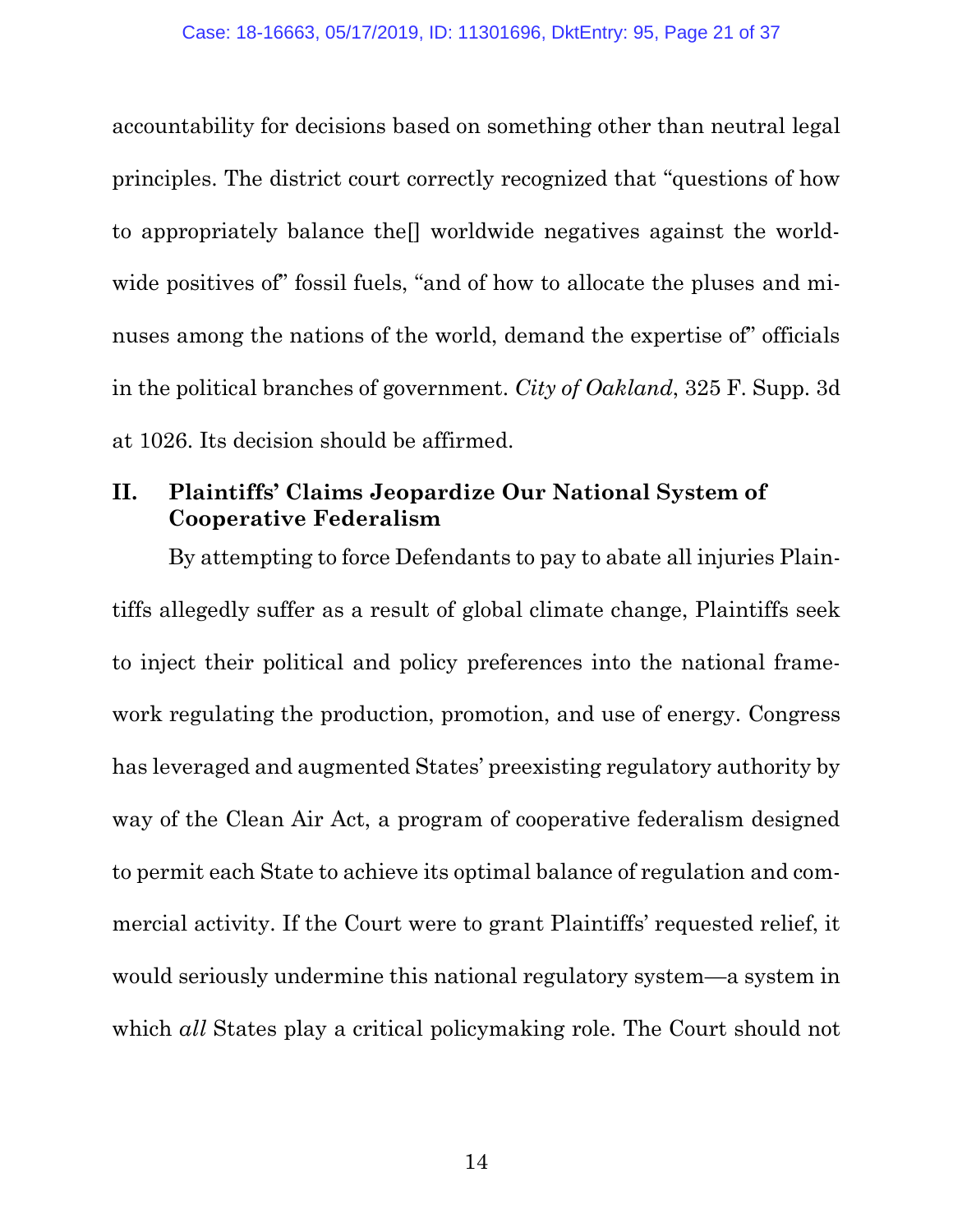accountability for decisions based on something other than neutral legal principles. The district court correctly recognized that "questions of how to appropriately balance the[] worldwide negatives against the worldwide positives of fossil fuels, "and of how to allocate the pluses and minuses among the nations of the world, demand the expertise of" officials in the political branches of government. *City of Oakland*, 325 F. Supp. 3d at 1026. Its decision should be affirmed.

## <span id="page-20-0"></span>**II. Plaintiffs' Claims Jeopardize Our National System of Cooperative Federalism**

By attempting to force Defendants to pay to abate all injuries Plaintiffs allegedly suffer as a result of global climate change, Plaintiffs seek to inject their political and policy preferences into the national framework regulating the production, promotion, and use of energy. Congress has leveraged and augmented States' preexisting regulatory authority by way of the Clean Air Act, a program of cooperative federalism designed to permit each State to achieve its optimal balance of regulation and commercial activity. If the Court were to grant Plaintiffs' requested relief, it would seriously undermine this national regulatory system—a system in which *all* States play a critical policymaking role. The Court should not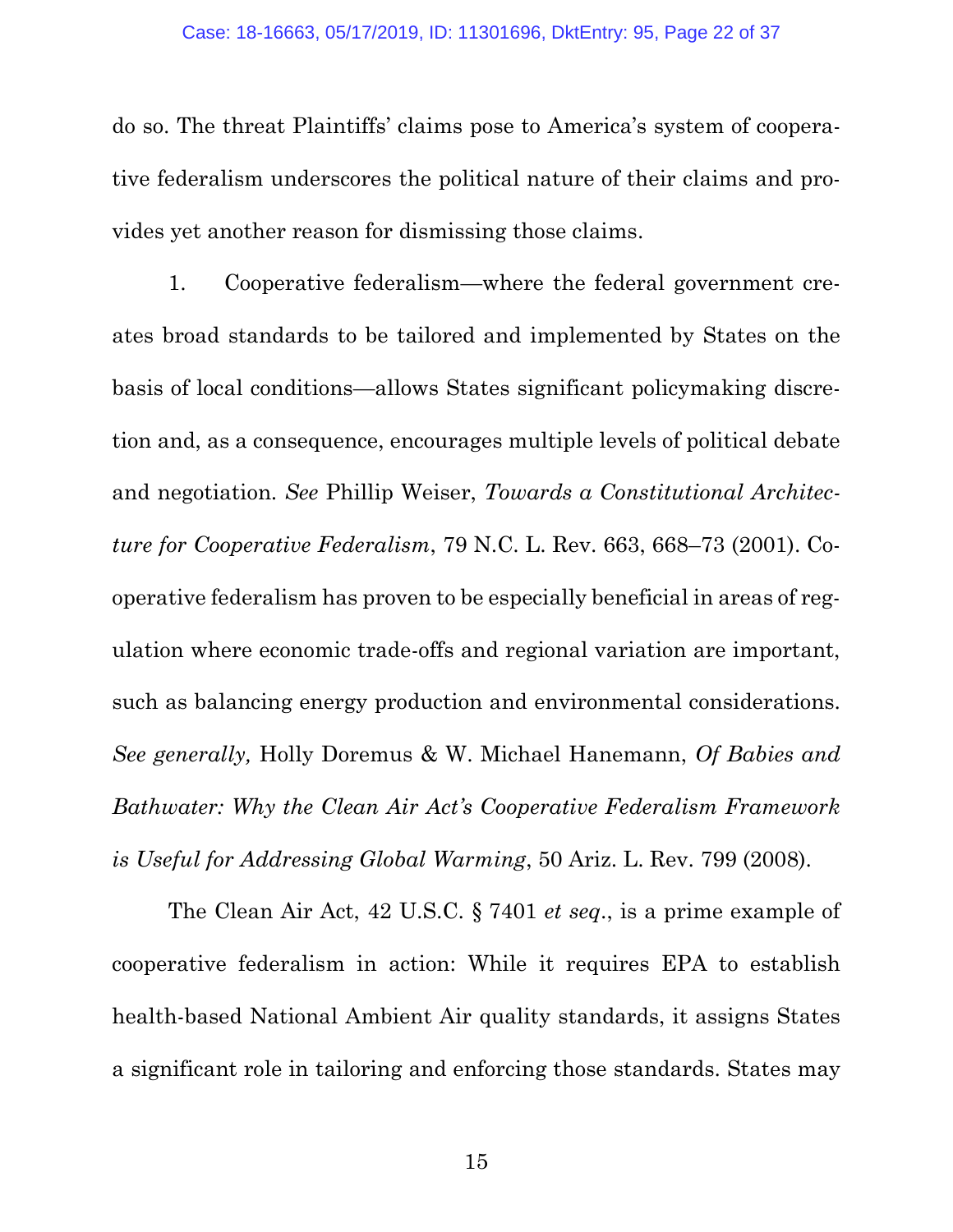do so. The threat Plaintiffs' claims pose to America's system of cooperative federalism underscores the political nature of their claims and provides yet another reason for dismissing those claims.

<span id="page-21-2"></span>1. Cooperative federalism—where the federal government creates broad standards to be tailored and implemented by States on the basis of local conditions—allows States significant policymaking discretion and, as a consequence, encourages multiple levels of political debate and negotiation. *See* Phillip Weiser, *Towards a Constitutional Architecture for Cooperative Federalism*, 79 N.C. L. Rev. 663, 668–73 (2001). Cooperative federalism has proven to be especially beneficial in areas of regulation where economic trade-offs and regional variation are important, such as balancing energy production and environmental considerations. *See generally,* Holly Doremus & W. Michael Hanemann, *Of Babies and Bathwater: Why the Clean Air Act's Cooperative Federalism Framework is Useful for Addressing Global Warming*, 50 Ariz. L. Rev. 799 (2008).

<span id="page-21-1"></span><span id="page-21-0"></span>The Clean Air Act, 42 U.S.C. § 7401 *et seq*., is a prime example of cooperative federalism in action: While it requires EPA to establish health-based National Ambient Air quality standards, it assigns States a significant role in tailoring and enforcing those standards. States may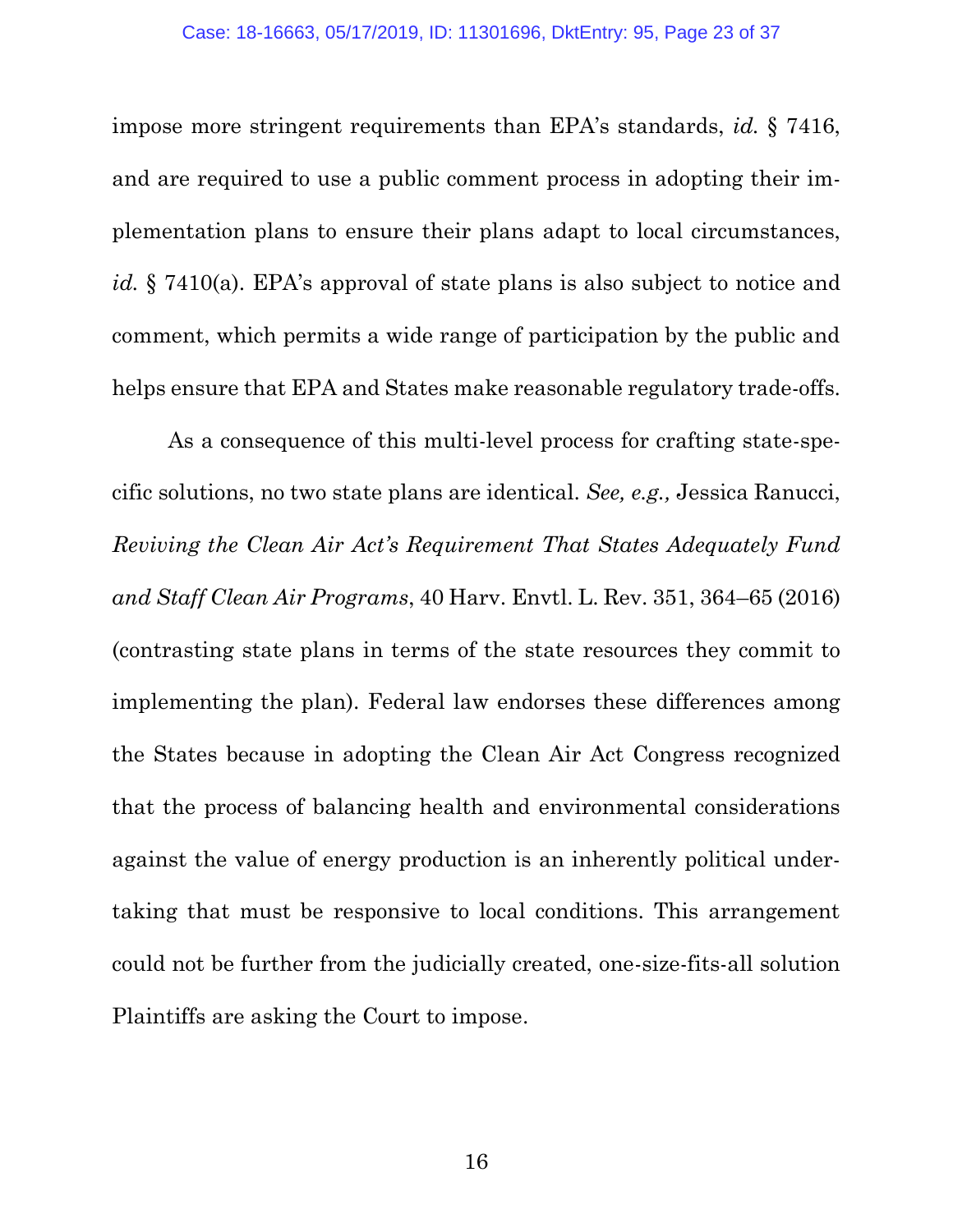<span id="page-22-0"></span>impose more stringent requirements than EPA's standards, *id.* § 7416, and are required to use a public comment process in adopting their implementation plans to ensure their plans adapt to local circumstances, *id.* § 7410(a). EPA's approval of state plans is also subject to notice and comment, which permits a wide range of participation by the public and helps ensure that EPA and States make reasonable regulatory trade-offs.

<span id="page-22-1"></span>As a consequence of this multi-level process for crafting state-specific solutions, no two state plans are identical. *See, e.g.,* Jessica Ranucci, *Reviving the Clean Air Act's Requirement That States Adequately Fund and Staff Clean Air Programs*, 40 Harv. Envtl. L. Rev. 351, 364–65 (2016) (contrasting state plans in terms of the state resources they commit to implementing the plan). Federal law endorses these differences among the States because in adopting the Clean Air Act Congress recognized that the process of balancing health and environmental considerations against the value of energy production is an inherently political undertaking that must be responsive to local conditions. This arrangement could not be further from the judicially created, one-size-fits-all solution Plaintiffs are asking the Court to impose.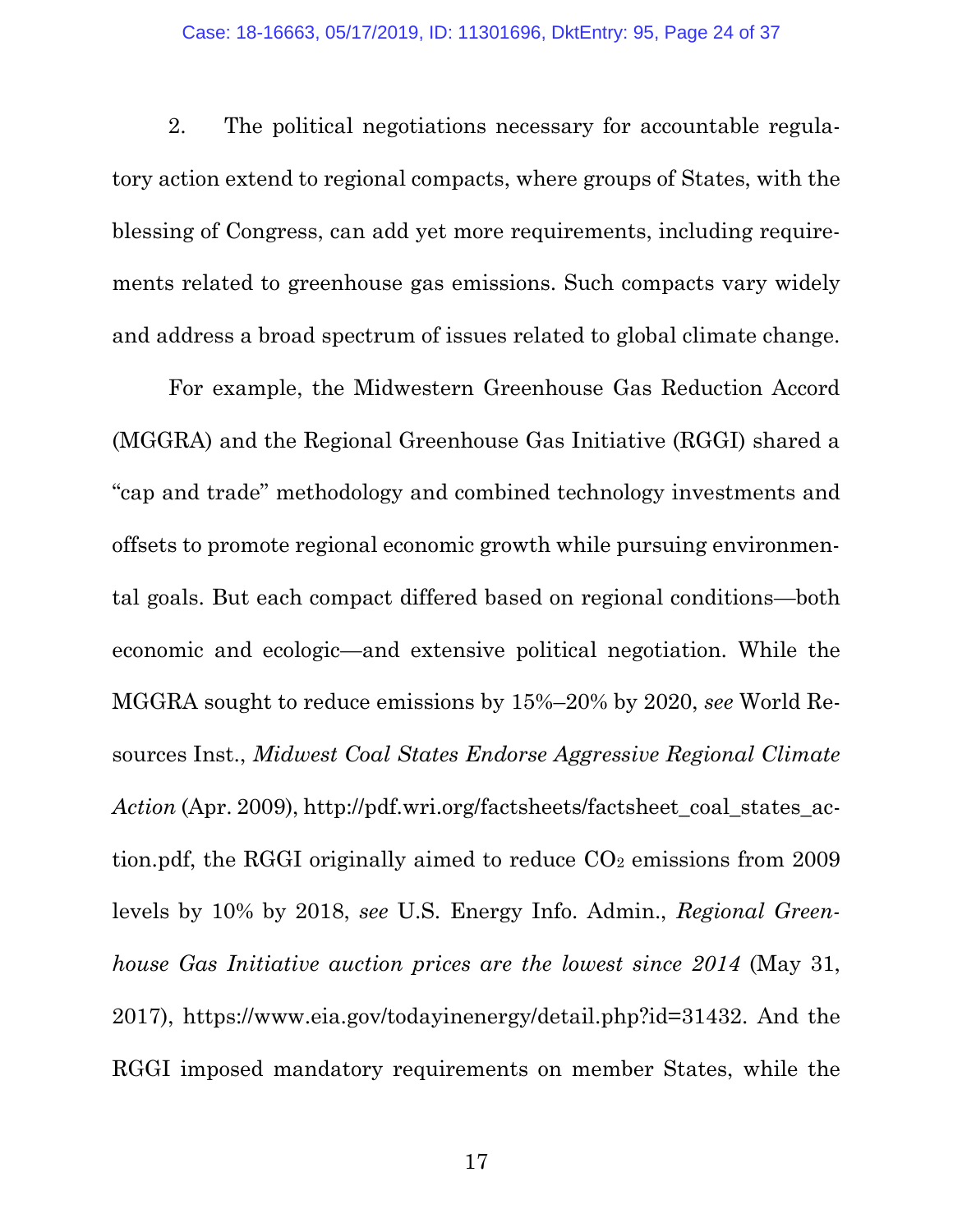2. The political negotiations necessary for accountable regulatory action extend to regional compacts, where groups of States, with the blessing of Congress, can add yet more requirements, including requirements related to greenhouse gas emissions. Such compacts vary widely and address a broad spectrum of issues related to global climate change.

<span id="page-23-1"></span><span id="page-23-0"></span>For example, the Midwestern Greenhouse Gas Reduction Accord (MGGRA) and the Regional Greenhouse Gas Initiative (RGGI) shared a "cap and trade" methodology and combined technology investments and offsets to promote regional economic growth while pursuing environmental goals. But each compact differed based on regional conditions—both economic and ecologic—and extensive political negotiation. While the MGGRA sought to reduce emissions by 15%–20% by 2020, *see* World Resources Inst., *Midwest Coal States Endorse Aggressive Regional Climate Action (Apr. 2009), http://pdf.wri.org/factsheets/factsheet\_coal\_states\_ac*tion.pdf, the RGGI originally aimed to reduce  $CO<sub>2</sub>$  emissions from 2009 levels by 10% by 2018, *see* U.S. Energy Info. Admin., *Regional Greenhouse Gas Initiative auction prices are the lowest since 2014* (May 31, 2017), https://www.eia.gov/todayinenergy/detail.php?id=31432. And the RGGI imposed mandatory requirements on member States, while the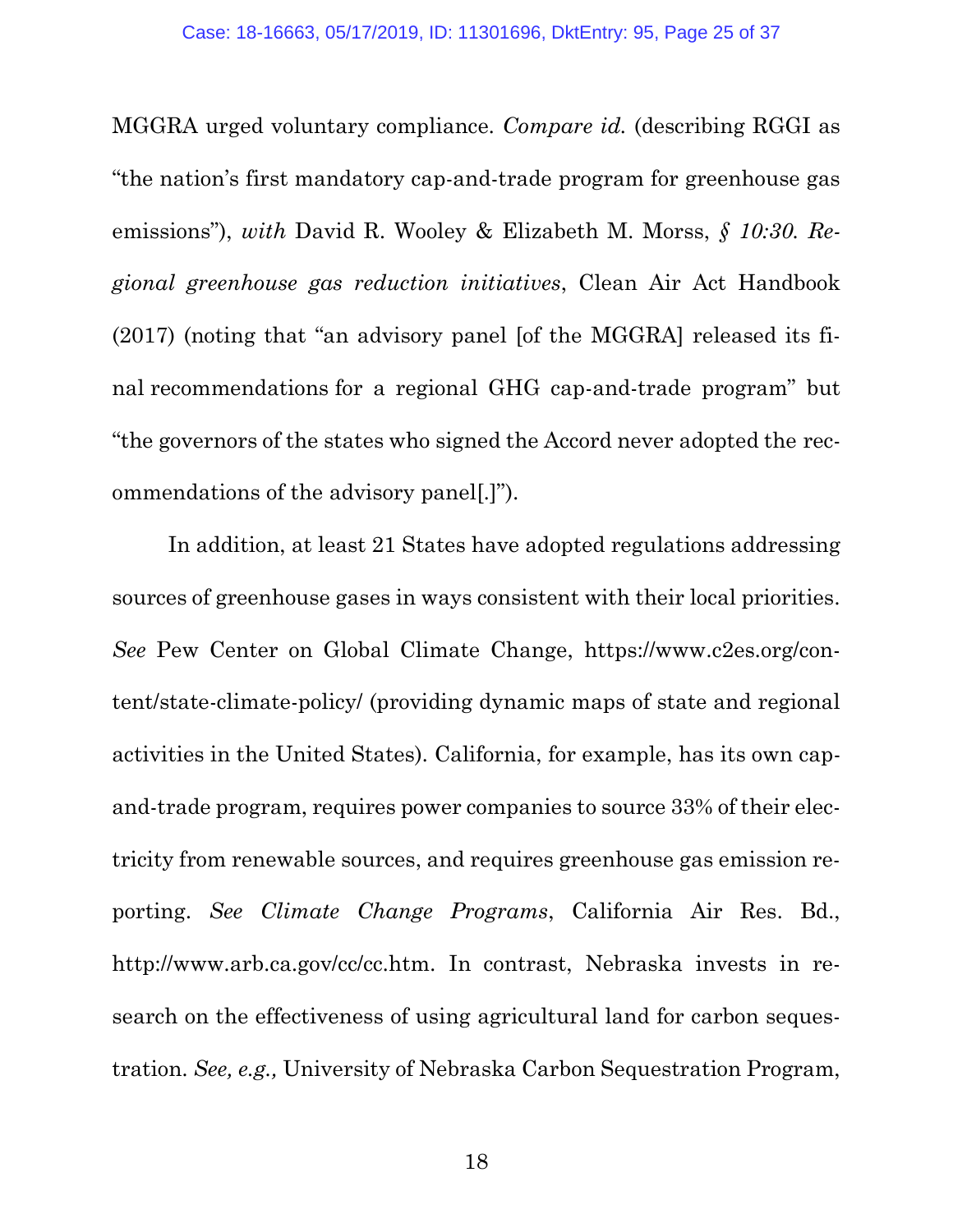<span id="page-24-3"></span><span id="page-24-1"></span>MGGRA urged voluntary compliance. *Compare id.* (describing RGGI as "the nation's first mandatory cap-and-trade program for greenhouse gas emissions"), *with* David R. Wooley & Elizabeth M. Morss, *§ 10:30. Regional greenhouse gas reduction initiatives*, Clean Air Act Handbook (2017) (noting that "an advisory panel [of the MGGRA] released its final recommendations for a regional GHG cap-and-trade program" but "the governors of the states who signed the Accord never adopted the recommendations of the advisory panel[.]").

<span id="page-24-4"></span><span id="page-24-2"></span><span id="page-24-0"></span>In addition, at least 21 States have adopted regulations addressing sources of greenhouse gases in ways consistent with their local priorities. *See* Pew Center on Global Climate Change, https://www.c2es.org/content/state-climate-policy/ (providing dynamic maps of state and regional activities in the United States). California, for example, has its own capand-trade program, requires power companies to source 33% of their electricity from renewable sources, and requires greenhouse gas emission reporting. *See Climate Change Programs*, California Air Res. Bd., http://www.arb.ca.gov/cc/cc.htm. In contrast, Nebraska invests in research on the effectiveness of using agricultural land for carbon sequestration. *See, e.g.,* University of Nebraska Carbon Sequestration Program,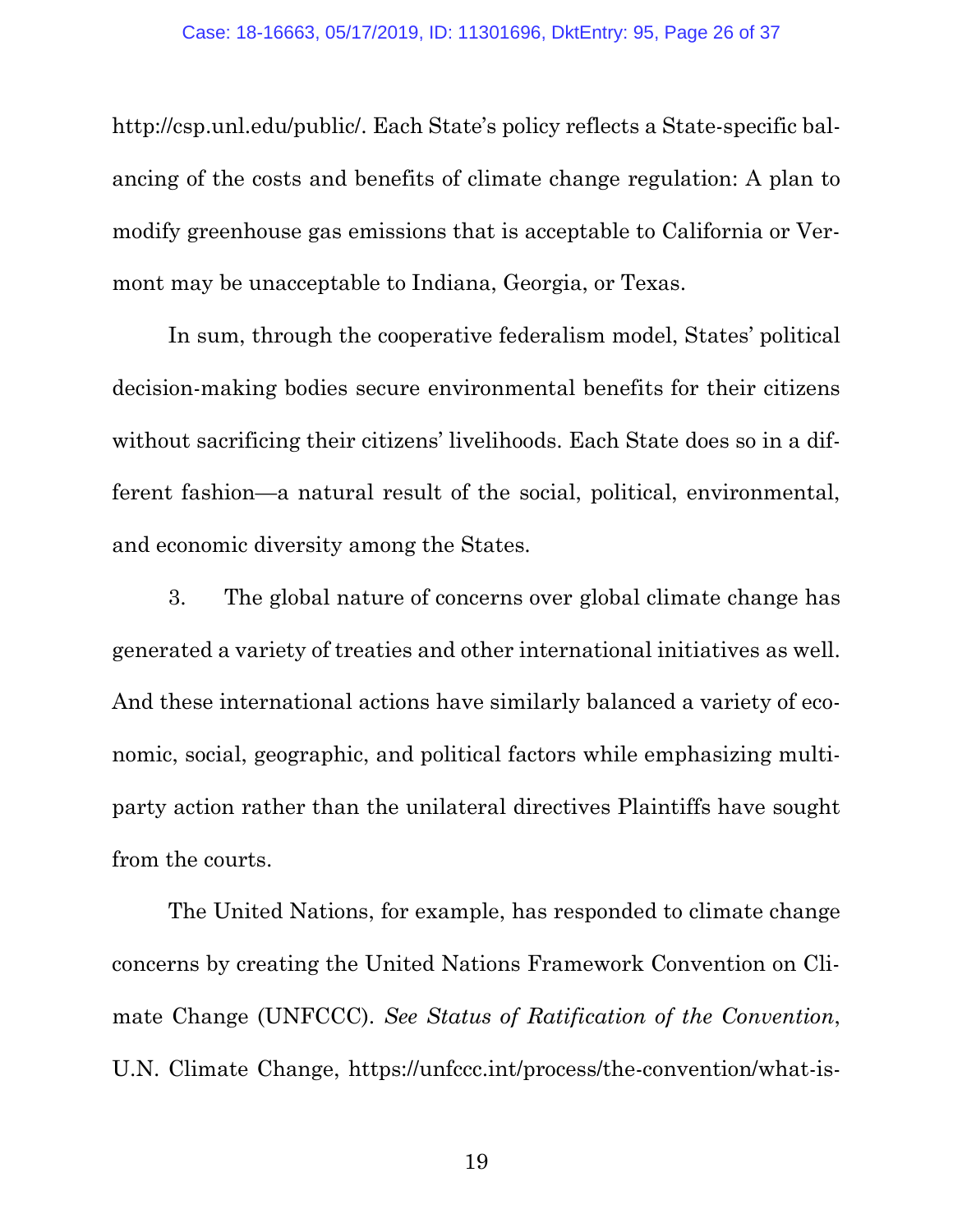http://csp.unl.edu/public/. Each State's policy reflects a State-specific balancing of the costs and benefits of climate change regulation: A plan to modify greenhouse gas emissions that is acceptable to California or Vermont may be unacceptable to Indiana, Georgia, or Texas.

In sum, through the cooperative federalism model, States' political decision-making bodies secure environmental benefits for their citizens without sacrificing their citizens' livelihoods. Each State does so in a different fashion—a natural result of the social, political, environmental, and economic diversity among the States.

3. The global nature of concerns over global climate change has generated a variety of treaties and other international initiatives as well. And these international actions have similarly balanced a variety of economic, social, geographic, and political factors while emphasizing multiparty action rather than the unilateral directives Plaintiffs have sought from the courts.

<span id="page-25-0"></span>The United Nations, for example, has responded to climate change concerns by creating the United Nations Framework Convention on Climate Change (UNFCCC). *See Status of Ratification of the Convention*, U.N. Climate Change, https://unfccc.int/process/the-convention/what-is-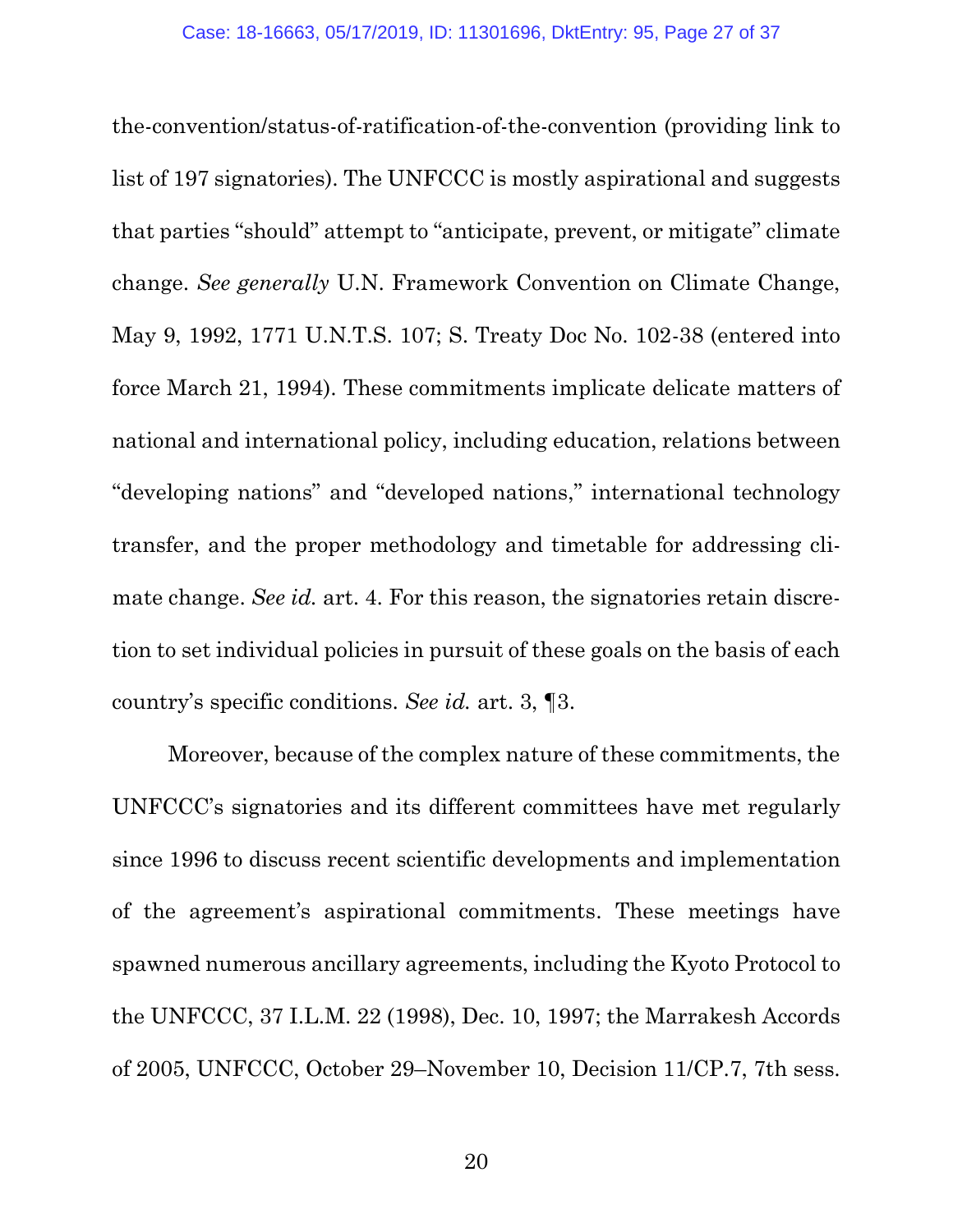<span id="page-26-2"></span>the-convention/status-of-ratification-of-the-convention (providing link to list of 197 signatories). The UNFCCC is mostly aspirational and suggests that parties "should" attempt to "anticipate, prevent, or mitigate" climate change. *See generally* U.N. Framework Convention on Climate Change, May 9, 1992, 1771 U.N.T.S. 107; S. Treaty Doc No. 102-38 (entered into force March 21, 1994). These commitments implicate delicate matters of national and international policy, including education, relations between "developing nations" and "developed nations," international technology transfer, and the proper methodology and timetable for addressing climate change. *See id.* art. 4. For this reason, the signatories retain discretion to set individual policies in pursuit of these goals on the basis of each country's specific conditions. *See id.* art. 3, ¶3.

<span id="page-26-1"></span><span id="page-26-0"></span>Moreover, because of the complex nature of these commitments, the UNFCCC's signatories and its different committees have met regularly since 1996 to discuss recent scientific developments and implementation of the agreement's aspirational commitments. These meetings have spawned numerous ancillary agreements, including the Kyoto Protocol to the UNFCCC, 37 I.L.M. 22 (1998), Dec. 10, 1997; the Marrakesh Accords of 2005, UNFCCC, October 29–November 10, Decision 11/CP.7, 7th sess.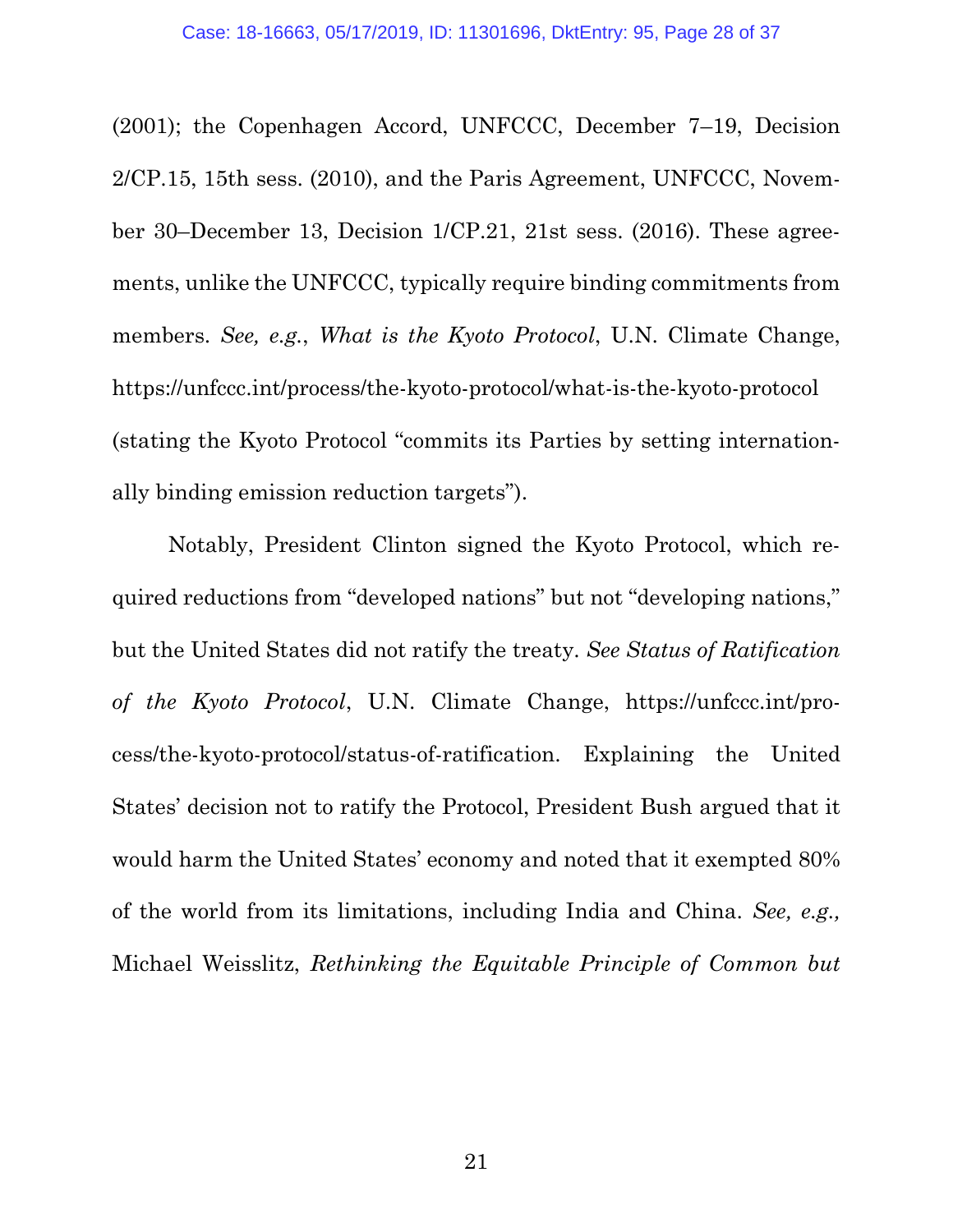<span id="page-27-4"></span><span id="page-27-2"></span><span id="page-27-0"></span>(2001); the Copenhagen Accord, UNFCCC, December 7–19, Decision 2/CP.15, 15th sess. (2010), and the Paris Agreement, UNFCCC, November 30–December 13, Decision 1/CP.21, 21st sess. (2016). These agreements, unlike the UNFCCC, typically require binding commitments from members. *See, e.g.*, *What is the Kyoto Protocol*, U.N. Climate Change, https://unfccc.int/process/the-kyoto-protocol/what-is-the-kyoto-protocol (stating the Kyoto Protocol "commits its Parties by setting internationally binding emission reduction targets").

<span id="page-27-3"></span><span id="page-27-1"></span>Notably, President Clinton signed the Kyoto Protocol, which required reductions from "developed nations" but not "developing nations," but the United States did not ratify the treaty. *See Status of Ratification of the Kyoto Protocol*, U.N. Climate Change, https://unfccc.int/process/the-kyoto-protocol/status-of-ratification. Explaining the United States' decision not to ratify the Protocol, President Bush argued that it would harm the United States' economy and noted that it exempted 80% of the world from its limitations, including India and China. *See, e.g.,*  Michael Weisslitz, *Rethinking the Equitable Principle of Common but*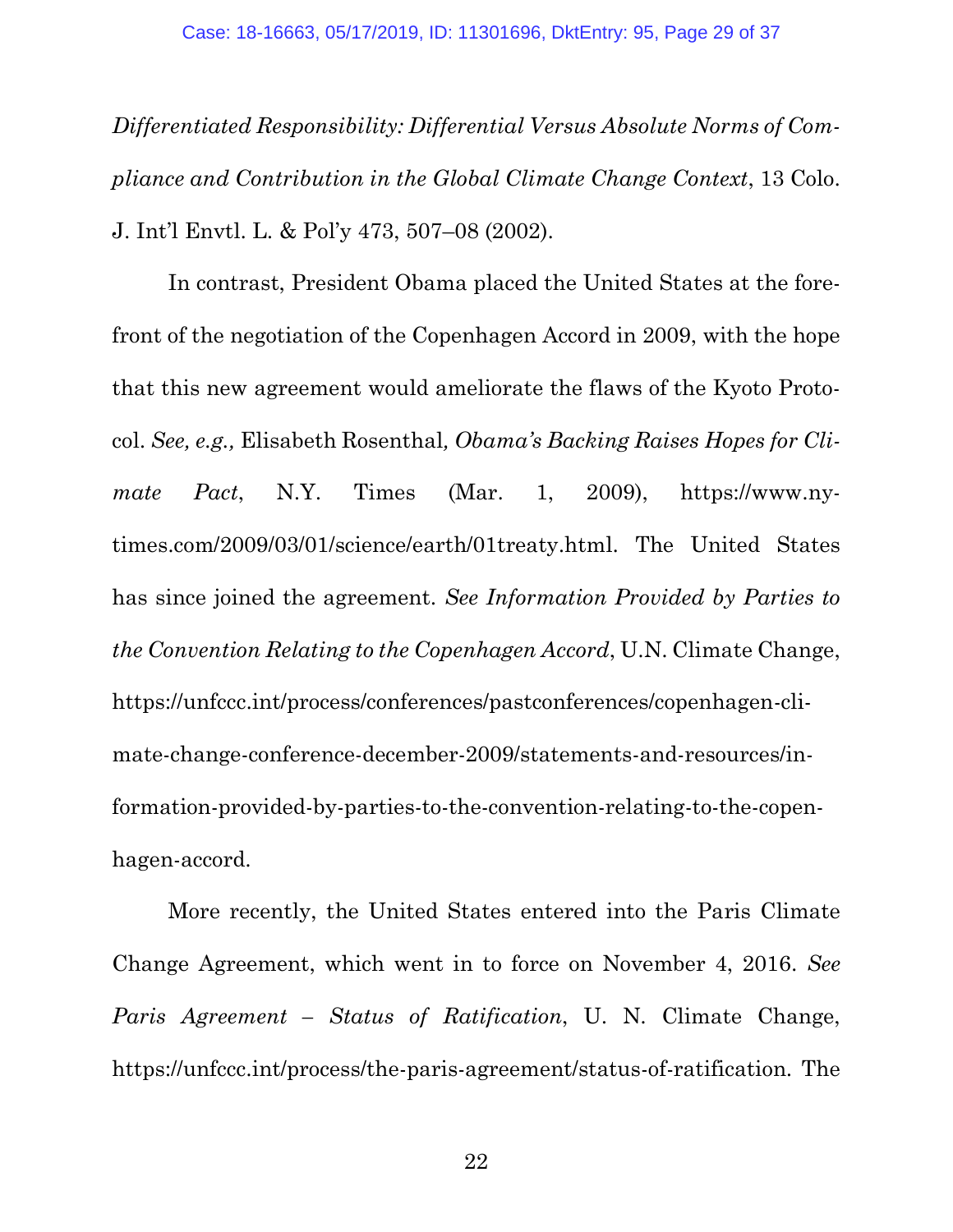*Differentiated Responsibility: Differential Versus Absolute Norms of Compliance and Contribution in the Global Climate Change Context*, 13 Colo. J. Int'l Envtl. L. & Pol'y 473, 507–08 (2002).

<span id="page-28-1"></span><span id="page-28-0"></span>In contrast, President Obama placed the United States at the forefront of the negotiation of the Copenhagen Accord in 2009, with the hope that this new agreement would ameliorate the flaws of the Kyoto Protocol. *See, e.g.,* Elisabeth Rosenthal*, Obama's Backing Raises Hopes for Climate Pact*, N.Y. Times (Mar. 1, 2009), https://www.nytimes.com/2009/03/01/science/earth/01treaty.html. The United States has since joined the agreement. *See Information Provided by Parties to the Convention Relating to the Copenhagen Accord*, U.N. Climate Change, https://unfccc.int/process/conferences/pastconferences/copenhagen-climate-change-conference-december-2009/statements-and-resources/information-provided-by-parties-to-the-convention-relating-to-the-copenhagen-accord.

<span id="page-28-2"></span>More recently, the United States entered into the Paris Climate Change Agreement, which went in to force on November 4, 2016. *See Paris Agreement – Status of Ratification*, U. N. Climate Change, https://unfccc.int/process/the-paris-agreement/status-of-ratification. The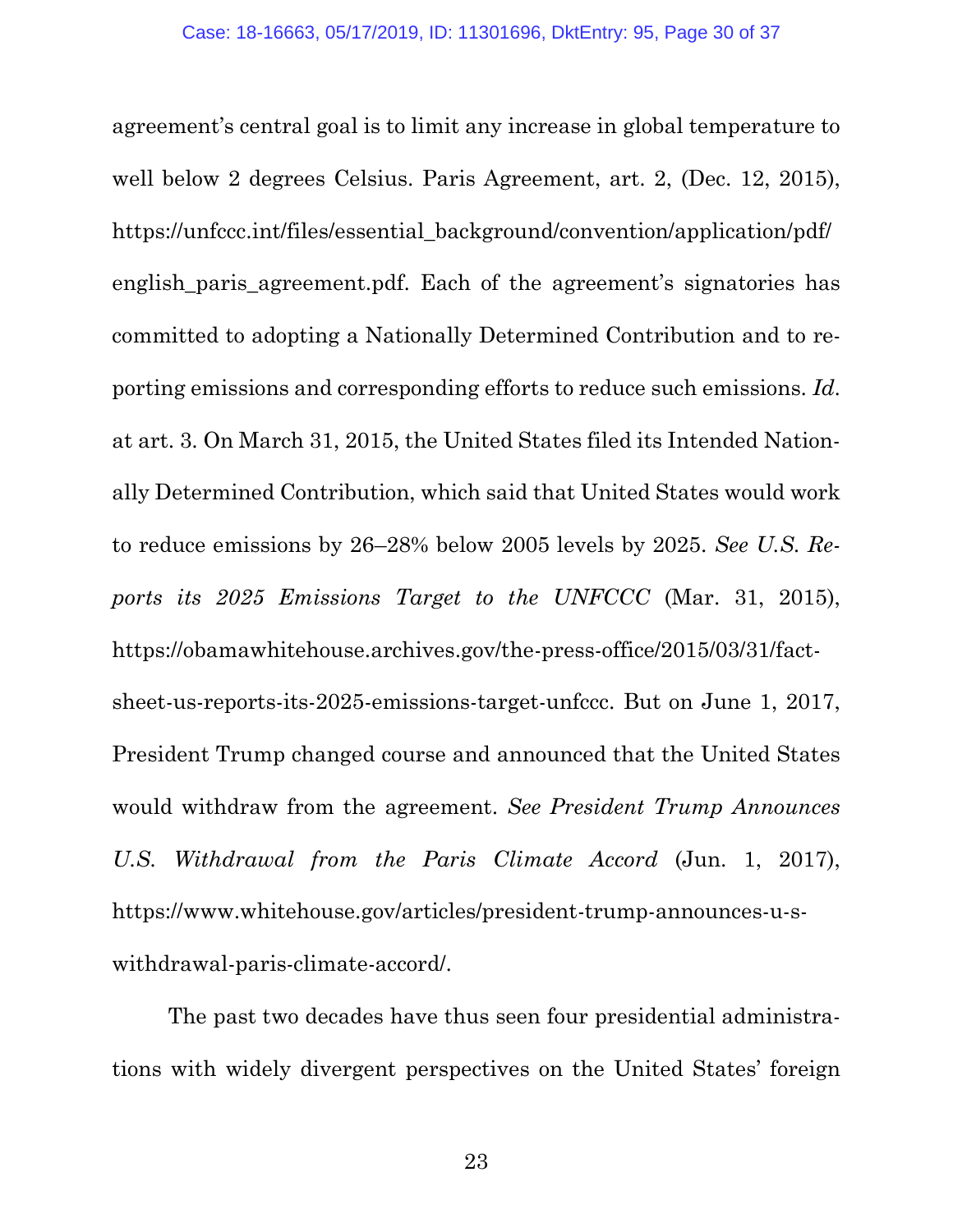<span id="page-29-2"></span><span id="page-29-0"></span>agreement's central goal is to limit any increase in global temperature to well below 2 degrees Celsius. Paris Agreement, art. 2, (Dec. 12, 2015), https://unfccc.int/files/essential\_background/convention/application/pdf/ english\_paris\_agreement.pdf. Each of the agreement's signatories has committed to adopting a Nationally Determined Contribution and to reporting emissions and corresponding efforts to reduce such emissions. *Id*. at art. 3. On March 31, 2015, the United States filed its Intended Nationally Determined Contribution, which said that United States would work to reduce emissions by 26–28% below 2005 levels by 2025. *See U.S. Reports its 2025 Emissions Target to the UNFCCC* (Mar. 31, 2015), https://obamawhitehouse.archives.gov/the-press-office/2015/03/31/factsheet-us-reports-its-2025-emissions-target-unfccc. But on June 1, 2017, President Trump changed course and announced that the United States would withdraw from the agreement. *See President Trump Announces U.S. Withdrawal from the Paris Climate Accord* (Jun. 1, 2017), https://www.whitehouse.gov/articles/president-trump-announces-u-swithdrawal-paris-climate-accord/.

<span id="page-29-1"></span>The past two decades have thus seen four presidential administrations with widely divergent perspectives on the United States' foreign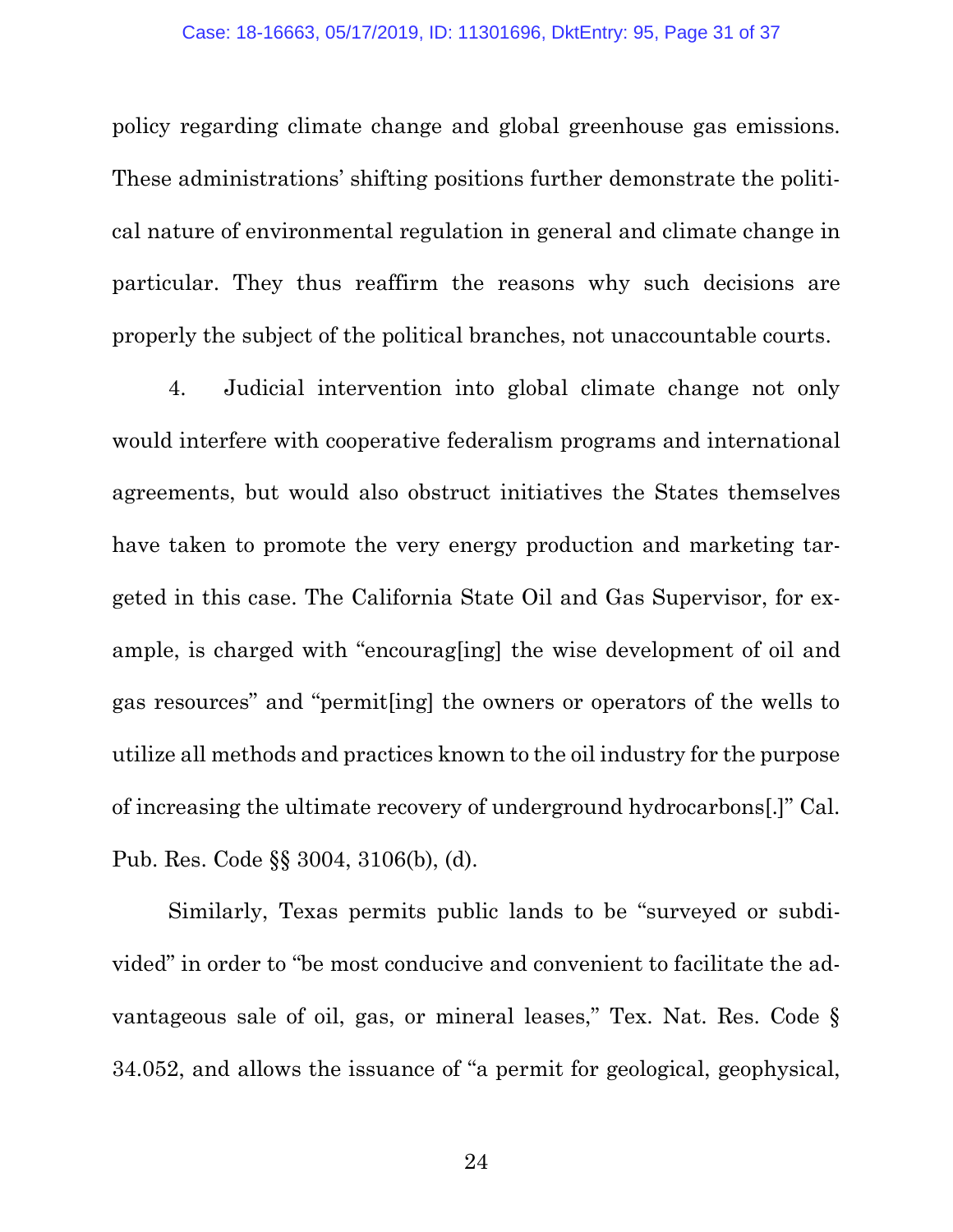policy regarding climate change and global greenhouse gas emissions. These administrations' shifting positions further demonstrate the political nature of environmental regulation in general and climate change in particular. They thus reaffirm the reasons why such decisions are properly the subject of the political branches, not unaccountable courts.

4. Judicial intervention into global climate change not only would interfere with cooperative federalism programs and international agreements, but would also obstruct initiatives the States themselves have taken to promote the very energy production and marketing targeted in this case. The California State Oil and Gas Supervisor, for example, is charged with "encourag[ing] the wise development of oil and gas resources" and "permit[ing] the owners or operators of the wells to utilize all methods and practices known to the oil industry for the purpose of increasing the ultimate recovery of underground hydrocarbons[.]" Cal. Pub. Res. Code §§ 3004, 3106(b), (d).

<span id="page-30-1"></span><span id="page-30-0"></span>Similarly, Texas permits public lands to be "surveyed or subdivided" in order to "be most conducive and convenient to facilitate the advantageous sale of oil, gas, or mineral leases," Tex. Nat. Res. Code § 34.052, and allows the issuance of "a permit for geological, geophysical,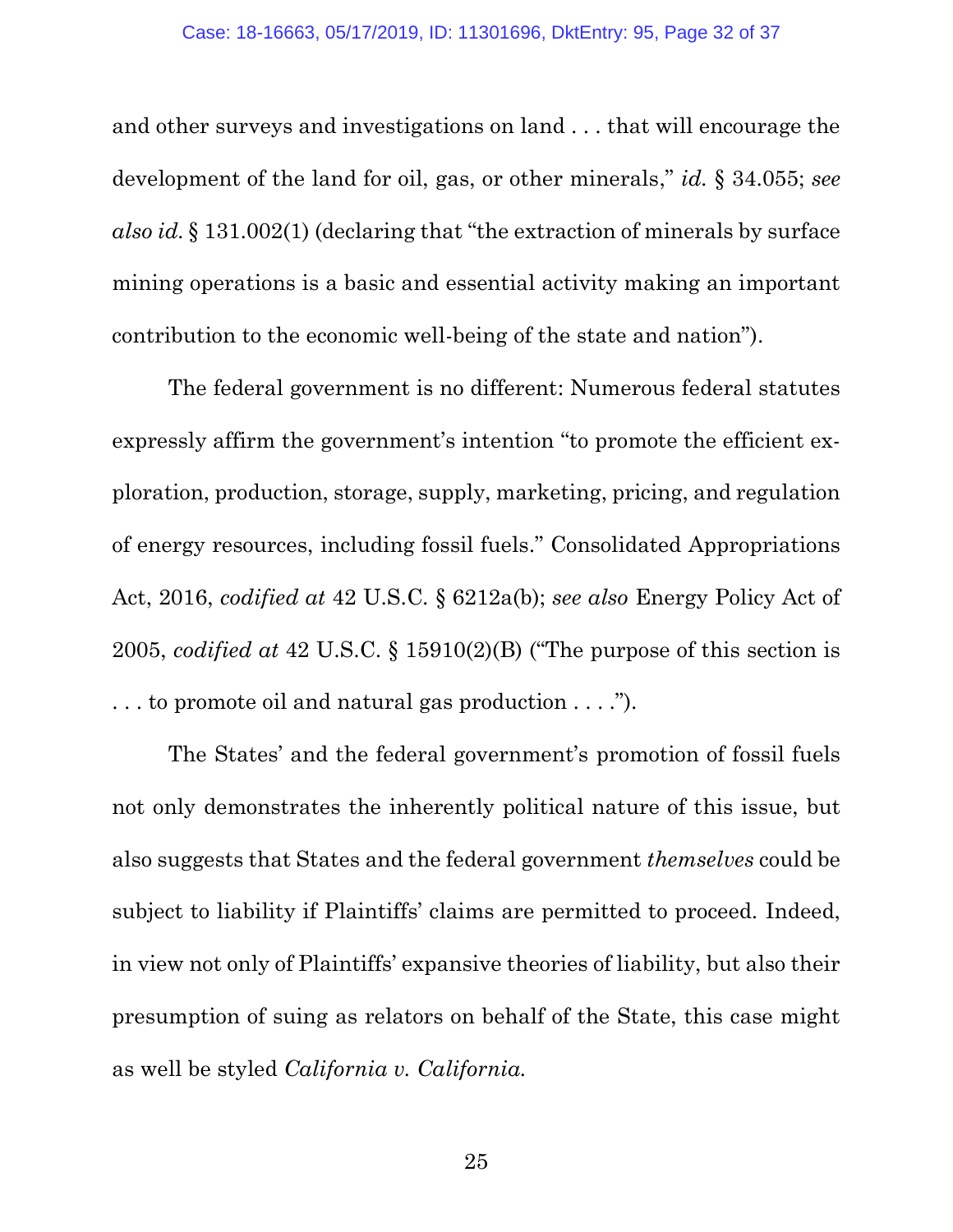and other surveys and investigations on land . . . that will encourage the development of the land for oil, gas, or other minerals," *id.* § 34.055; *see also id.* § 131.002(1) (declaring that "the extraction of minerals by surface mining operations is a basic and essential activity making an important contribution to the economic well-being of the state and nation").

<span id="page-31-0"></span>The federal government is no different: Numerous federal statutes expressly affirm the government's intention "to promote the efficient exploration, production, storage, supply, marketing, pricing, and regulation of energy resources, including fossil fuels." Consolidated Appropriations Act, 2016, *codified at* 42 U.S.C. § 6212a(b); *see also* Energy Policy Act of 2005, *codified at* 42 U.S.C. § 15910(2)(B) ("The purpose of this section is . . . to promote oil and natural gas production . . . .").

<span id="page-31-1"></span>The States' and the federal government's promotion of fossil fuels not only demonstrates the inherently political nature of this issue, but also suggests that States and the federal government *themselves* could be subject to liability if Plaintiffs' claims are permitted to proceed. Indeed, in view not only of Plaintiffs' expansive theories of liability, but also their presumption of suing as relators on behalf of the State, this case might as well be styled *California v. California.*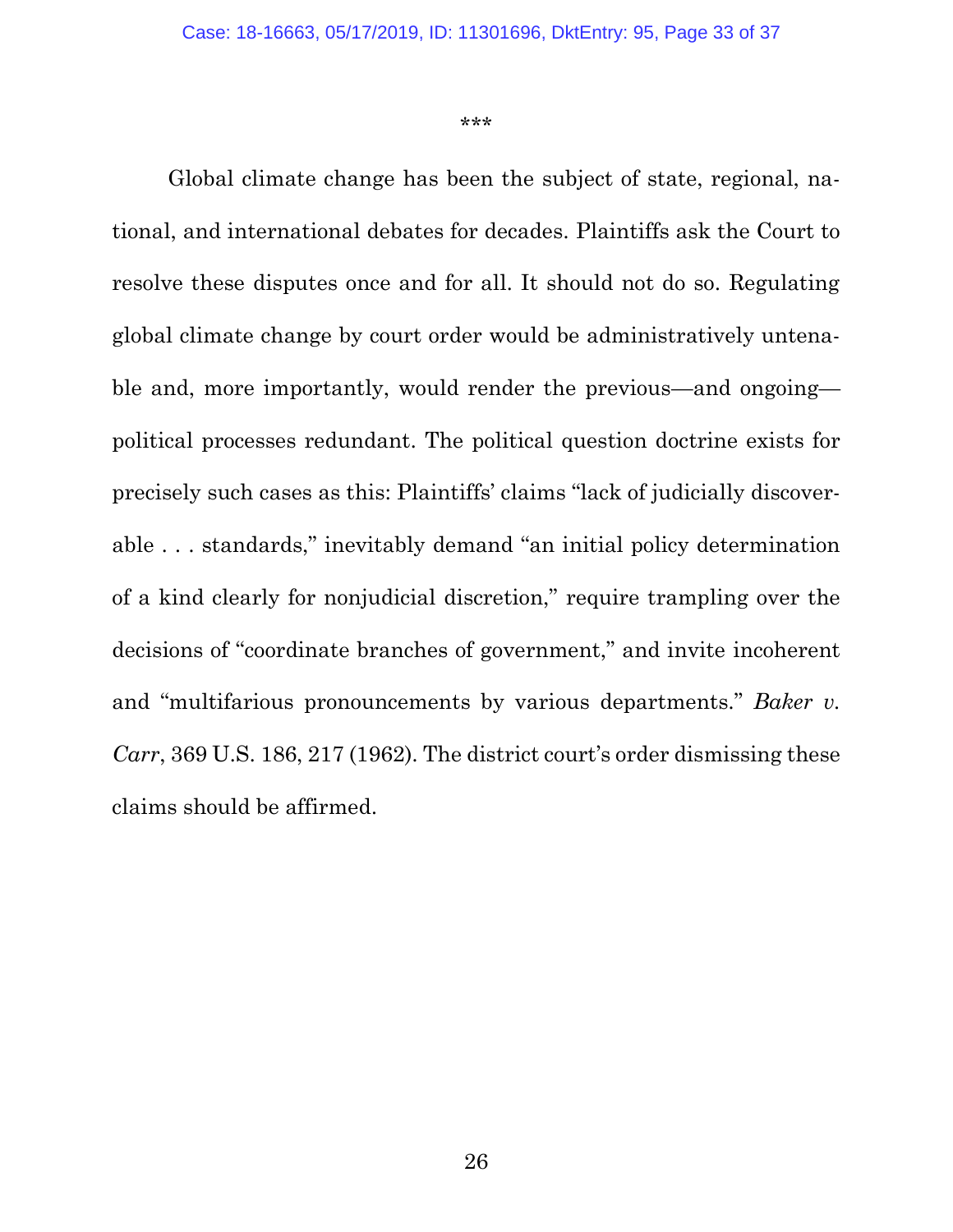<span id="page-32-0"></span>\*\*\*

Global climate change has been the subject of state, regional, national, and international debates for decades. Plaintiffs ask the Court to resolve these disputes once and for all. It should not do so. Regulating global climate change by court order would be administratively untenable and, more importantly, would render the previous—and ongoing political processes redundant. The political question doctrine exists for precisely such cases as this: Plaintiffs' claims "lack of judicially discoverable . . . standards," inevitably demand "an initial policy determination of a kind clearly for nonjudicial discretion," require trampling over the decisions of "coordinate branches of government," and invite incoherent and "multifarious pronouncements by various departments." *Baker v. Carr*, 369 U.S. 186, 217 (1962). The district court's order dismissing these claims should be affirmed.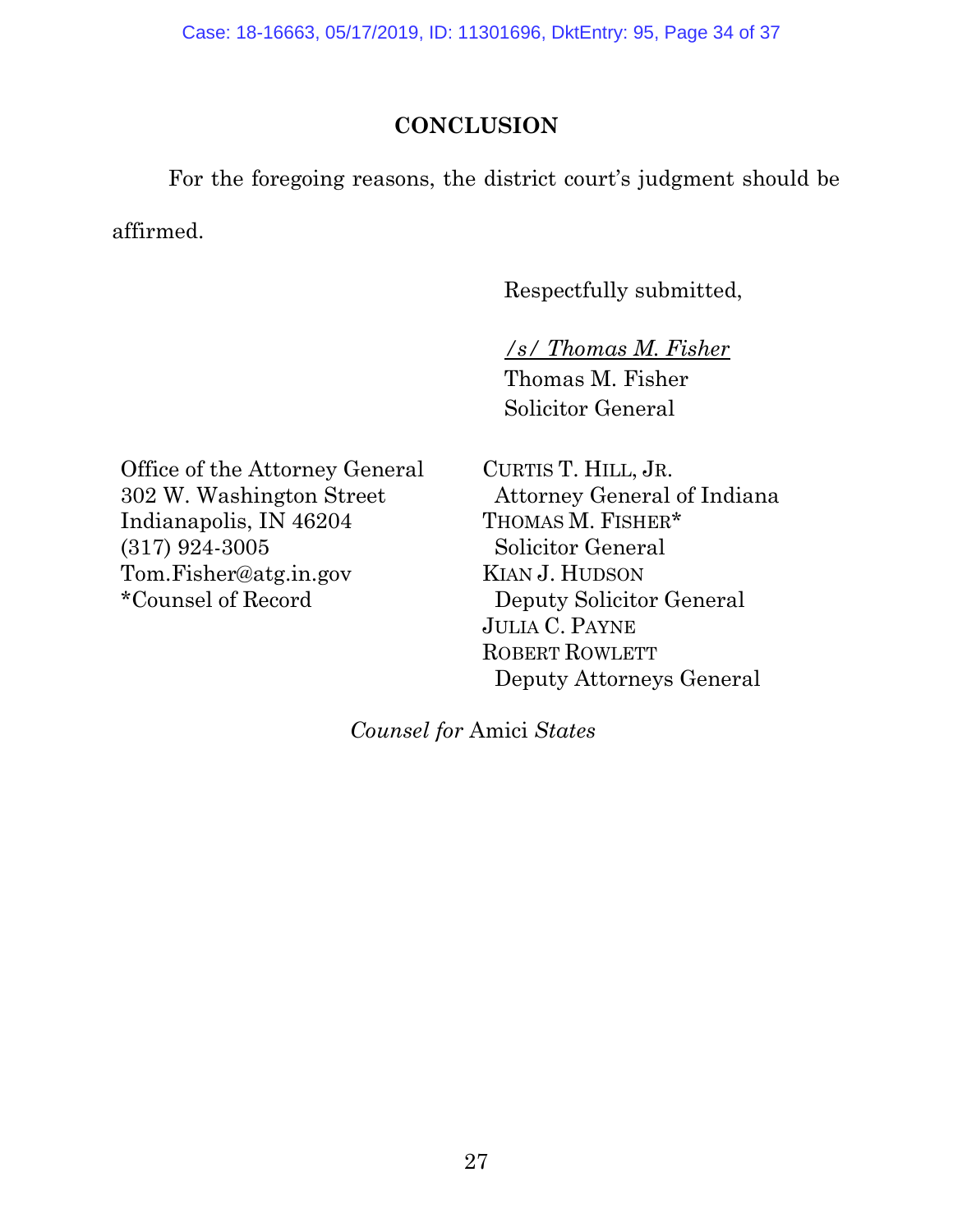Case: 18-16663, 05/17/2019, ID: 11301696, DktEntry: 95, Page 34 of 37

## **CONCLUSION**

For the foregoing reasons, the district court's judgment should be affirmed.

Respectfully submitted,

*/s/ Thomas M. Fisher* Thomas M. Fisher Solicitor General

Office of the Attorney General 302 W. Washington Street Indianapolis, IN 46204 (317) 924-3005 Tom.Fisher@atg.in.gov \*Counsel of Record

CURTIS T. HILL, JR. Attorney General of Indiana THOMAS M. FISHER\* Solicitor General KIAN J. HUDSON Deputy Solicitor General JULIA C. PAYNE ROBERT ROWLETT Deputy Attorneys General

*Counsel for* Amici *States*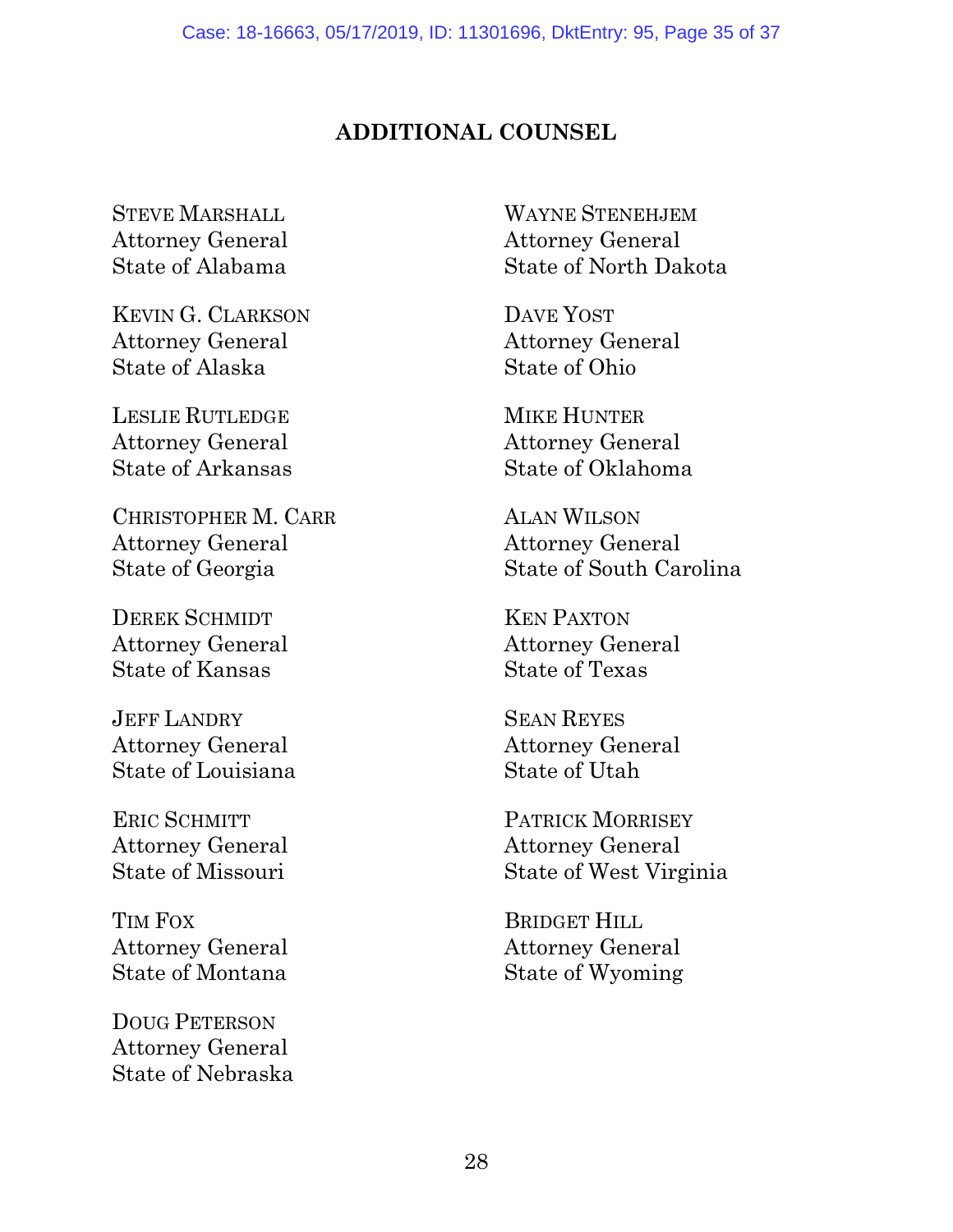## **ADDITIONAL COUNSEL**

STEVE MARSHALL Attorney General State of Alabama

KEVIN G. CLARKSON Attorney General State of Alaska

LESLIE RUTLEDGE Attorney General State of Arkansas

CHRISTOPHER M. CARR Attorney General State of Georgia

DEREK SCHMIDT Attorney General State of Kansas

JEFF LANDRY Attorney General State of Louisiana

ERIC SCHMITT Attorney General State of Missouri

TIM FOX Attorney General State of Montana

DOUG PETERSON Attorney General State of Nebraska

WAYNE STENEHJEM Attorney General State of North Dakota

DAVE YOST Attorney General State of Ohio

MIKE HUNTER Attorney General State of Oklahoma

ALAN WILSON Attorney General State of South Carolina

KEN PAXTON Attorney General State of Texas

SEAN REYES Attorney General State of Utah

PATRICK MORRISEY Attorney General State of West Virginia

BRIDGET HILL Attorney General State of Wyoming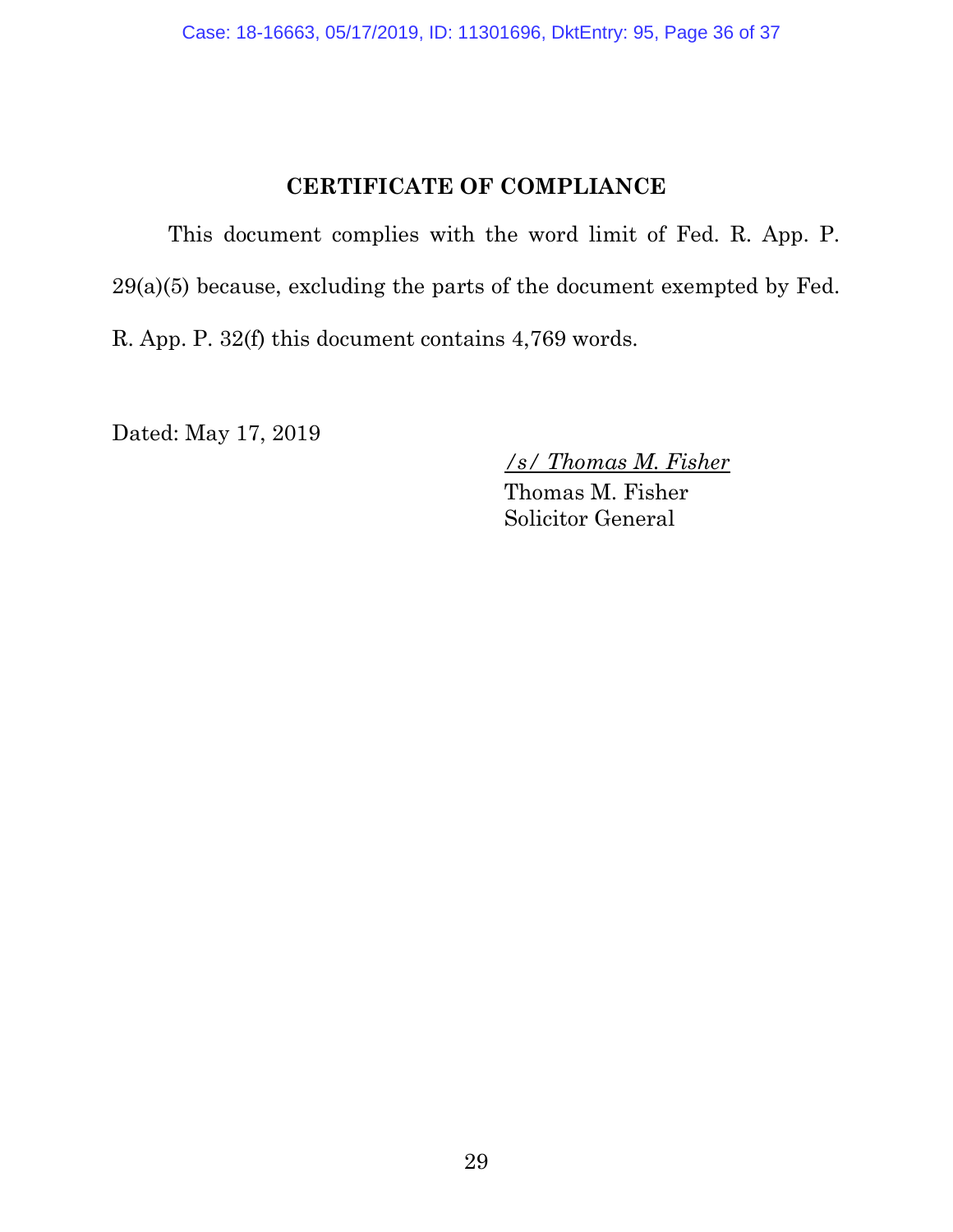## **CERTIFICATE OF COMPLIANCE**

This document complies with the word limit of Fed. R. App. P. 29(a)(5) because, excluding the parts of the document exempted by Fed. R. App. P. 32(f) this document contains 4,769 words.

Dated: May 17, 2019

*/s/ Thomas M. Fisher*

Thomas M. Fisher Solicitor General